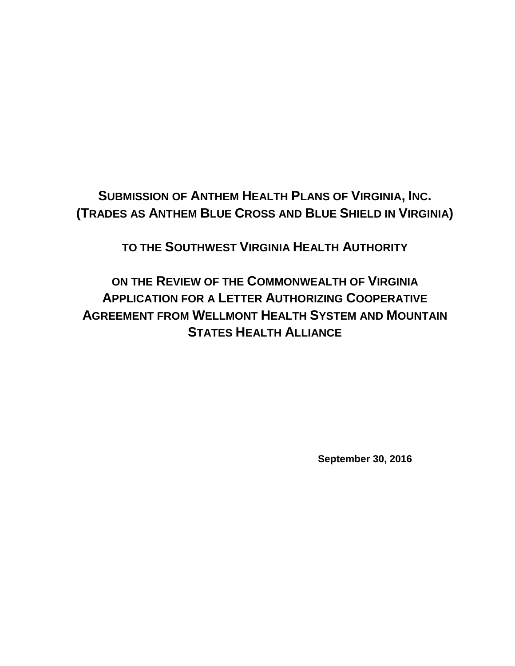# **SUBMISSION OF ANTHEM HEALTH PLANS OF VIRGINIA, INC. (TRADES AS ANTHEM BLUE CROSS AND BLUE SHIELD IN VIRGINIA)**

**TO THE SOUTHWEST VIRGINIA HEALTH AUTHORITY** 

**ON THE REVIEW OF THE COMMONWEALTH OF VIRGINIA APPLICATION FOR A LETTER AUTHORIZING COOPERATIVE AGREEMENT FROM WELLMONT HEALTH SYSTEM AND MOUNTAIN STATES HEALTH ALLIANCE**

**September 30, 2016**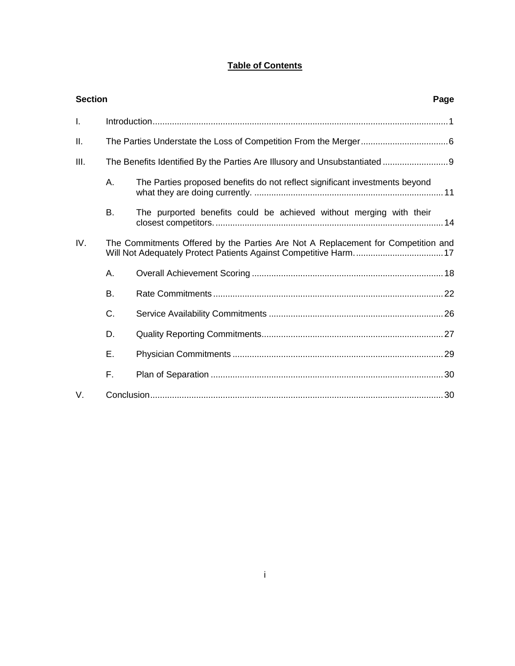# **Table of Contents**

| <b>Section</b> |    |                                                                                  | Page |
|----------------|----|----------------------------------------------------------------------------------|------|
| I.             |    |                                                                                  |      |
| ΙΙ.            |    |                                                                                  |      |
| III.           |    | The Benefits Identified By the Parties Are Illusory and Unsubstantiated  9       |      |
|                | А. | The Parties proposed benefits do not reflect significant investments beyond      |      |
|                | В. | The purported benefits could be achieved without merging with their              |      |
| IV.            |    | The Commitments Offered by the Parties Are Not A Replacement for Competition and |      |
|                | А. |                                                                                  |      |
|                | Β. |                                                                                  |      |
|                | C. |                                                                                  |      |
|                | D. |                                                                                  |      |
|                | Ε. |                                                                                  |      |
|                | F. |                                                                                  |      |
| V.             |    |                                                                                  |      |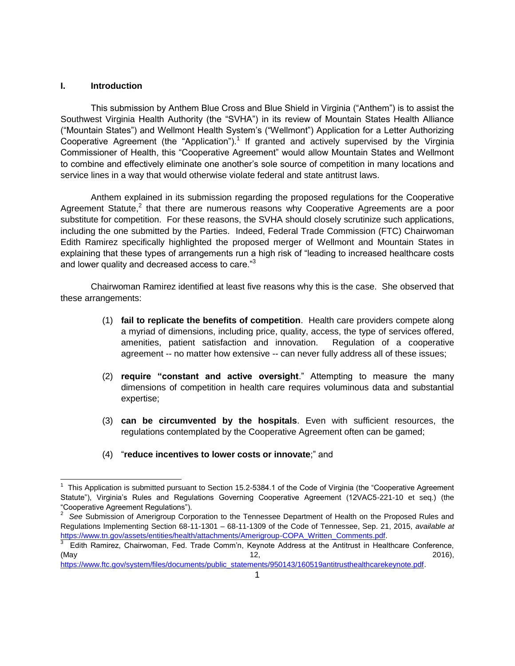#### <span id="page-2-0"></span>**I. Introduction**

This submission by Anthem Blue Cross and Blue Shield in Virginia ("Anthem") is to assist the Southwest Virginia Health Authority (the "SVHA") in its review of Mountain States Health Alliance ("Mountain States") and Wellmont Health System's ("Wellmont") Application for a Letter Authorizing Cooperative Agreement (the "Application").<sup>1</sup> If granted and actively supervised by the Virginia Commissioner of Health, this "Cooperative Agreement" would allow Mountain States and Wellmont to combine and effectively eliminate one another's sole source of competition in many locations and service lines in a way that would otherwise violate federal and state antitrust laws.

Anthem explained in its submission regarding the proposed regulations for the Cooperative Agreement Statute, $2$  that there are numerous reasons why Cooperative Agreements are a poor substitute for competition. For these reasons, the SVHA should closely scrutinize such applications, including the one submitted by the Parties. Indeed, Federal Trade Commission (FTC) Chairwoman Edith Ramirez specifically highlighted the proposed merger of Wellmont and Mountain States in explaining that these types of arrangements run a high risk of "leading to increased healthcare costs and lower quality and decreased access to care."<sup>3</sup>

Chairwoman Ramirez identified at least five reasons why this is the case. She observed that these arrangements:

- (1) **fail to replicate the benefits of competition**. Health care providers compete along a myriad of dimensions, including price, quality, access, the type of services offered, amenities, patient satisfaction and innovation. Regulation of a cooperative agreement -- no matter how extensive -- can never fully address all of these issues;
- (2) **require "constant and active oversight**." Attempting to measure the many dimensions of competition in health care requires voluminous data and substantial expertise;
- (3) **can be circumvented by the hospitals**. Even with sufficient resources, the regulations contemplated by the Cooperative Agreement often can be gamed;
- (4) "**reduce incentives to lower costs or innovate**;" and

 $\overline{a}$ 1 This Application is submitted pursuant to Section 15.2-5384.1 of the Code of Virginia (the "Cooperative Agreement Statute"), Virginia's Rules and Regulations Governing Cooperative Agreement (12VAC5-221-10 et seq.) (the "Cooperative Agreement Regulations").

<sup>&</sup>lt;sup>2</sup> See Submission of Amerigroup Corporation to the Tennessee Department of Health on the Proposed Rules and Regulations Implementing Section 68-11-1301 – 68-11-1309 of the Code of Tennessee, Sep. 21, 2015, *available at* [https://www.tn.gov/assets/entities/health/attachments/Amerigroup-COPA\\_Written\\_Comments.pdf.](https://www.tn.gov/assets/entities/health/attachments/Amerigroup-COPA_Written_Comments.pdf)

<sup>3</sup> Edith Ramirez, Chairwoman, Fed. Trade Comm'n, Keynote Address at the Antitrust in Healthcare Conference, (May 2016), 2016), 2016 (May 2016), 2016

[https://www.ftc.gov/system/files/documents/public\\_statements/950143/160519antitrusthealthcarekeynote.pdf.](https://www.ftc.gov/system/files/documents/public_statements/950143/160519antitrusthealthcarekeynote.pdf)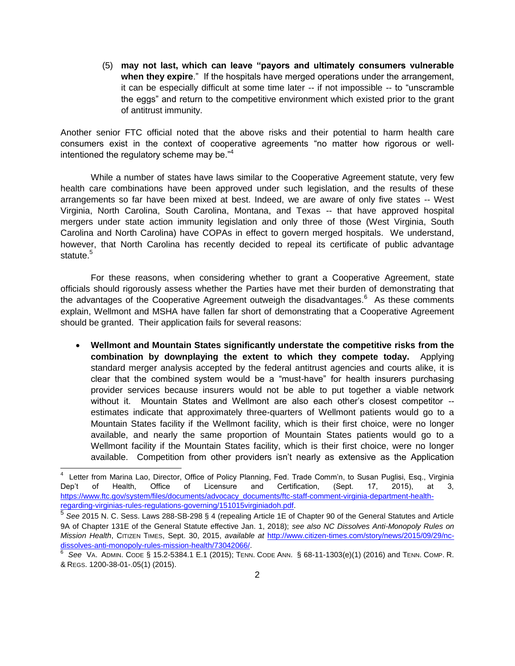(5) **may not last, which can leave "payors and ultimately consumers vulnerable when they expire**." If the hospitals have merged operations under the arrangement, it can be especially difficult at some time later -- if not impossible -- to "unscramble the eggs" and return to the competitive environment which existed prior to the grant of antitrust immunity.

Another senior FTC official noted that the above risks and their potential to harm health care consumers exist in the context of cooperative agreements "no matter how rigorous or wellintentioned the regulatory scheme may be."<sup>4</sup>

While a number of states have laws similar to the Cooperative Agreement statute, very few health care combinations have been approved under such legislation, and the results of these arrangements so far have been mixed at best. Indeed, we are aware of only five states -- West Virginia, North Carolina, South Carolina, Montana, and Texas -- that have approved hospital mergers under state action immunity legislation and only three of those (West Virginia, South Carolina and North Carolina) have COPAs in effect to govern merged hospitals. We understand, however, that North Carolina has recently decided to repeal its certificate of public advantage statute.<sup>5</sup>

For these reasons, when considering whether to grant a Cooperative Agreement, state officials should rigorously assess whether the Parties have met their burden of demonstrating that the advantages of the Cooperative Agreement outweigh the disadvantages.<sup>6</sup> As these comments explain, Wellmont and MSHA have fallen far short of demonstrating that a Cooperative Agreement should be granted. Their application fails for several reasons:

 **Wellmont and Mountain States significantly understate the competitive risks from the combination by downplaying the extent to which they compete today.** Applying standard merger analysis accepted by the federal antitrust agencies and courts alike, it is clear that the combined system would be a "must-have" for health insurers purchasing provider services because insurers would not be able to put together a viable network without it. Mountain States and Wellmont are also each other's closest competitor - estimates indicate that approximately three-quarters of Wellmont patients would go to a Mountain States facility if the Wellmont facility, which is their first choice, were no longer available, and nearly the same proportion of Mountain States patients would go to a Wellmont facility if the Mountain States facility, which is their first choice, were no longer available. Competition from other providers isn't nearly as extensive as the Application

 4 Letter from Marina Lao, Director, Office of Policy Planning, Fed. Trade Comm'n, to Susan Puglisi, Esq., Virginia Dep't of Health, Office of Licensure and Certification, (Sept. 17, 2015), at 3, [https://www.ftc.gov/system/files/documents/advocacy\\_documents/ftc-staff-comment-virginia-department-health](https://www.ftc.gov/system/files/documents/advocacy_documents/ftc-staff-comment-virginia-department-health-regarding-virginias-rules-regulations-governing/151015virginiadoh.pdf)[regarding-virginias-rules-regulations-governing/151015virginiadoh.pdf.](https://www.ftc.gov/system/files/documents/advocacy_documents/ftc-staff-comment-virginia-department-health-regarding-virginias-rules-regulations-governing/151015virginiadoh.pdf)

<sup>5</sup> *See* 2015 N. C. Sess. Laws 288-SB-298 § 4 (repealing Article 1E of Chapter 90 of the General Statutes and Article 9A of Chapter 131E of the General Statute effective Jan. 1, 2018); *see also NC Dissolves Anti-Monopoly Rules on Mission Health*, CITIZEN TIMES, Sept. 30, 2015, *available at* [http://www.citizen-times.com/story/news/2015/09/29/nc](http://www.citizen-times.com/story/news/2015/09/29/nc-dissolves-anti-monopoly-rules-mission-health/73042066/)[dissolves-anti-monopoly-rules-mission-health/73042066/.](http://www.citizen-times.com/story/news/2015/09/29/nc-dissolves-anti-monopoly-rules-mission-health/73042066/)

<sup>6</sup> *See* VA. ADMIN. CODE § 15.2-5384.1 E.1 (2015); TENN. CODE ANN. § 68-11-1303(e)(1) (2016) and TENN. COMP. R. & REGS. 1200-38-01-.05(1) (2015).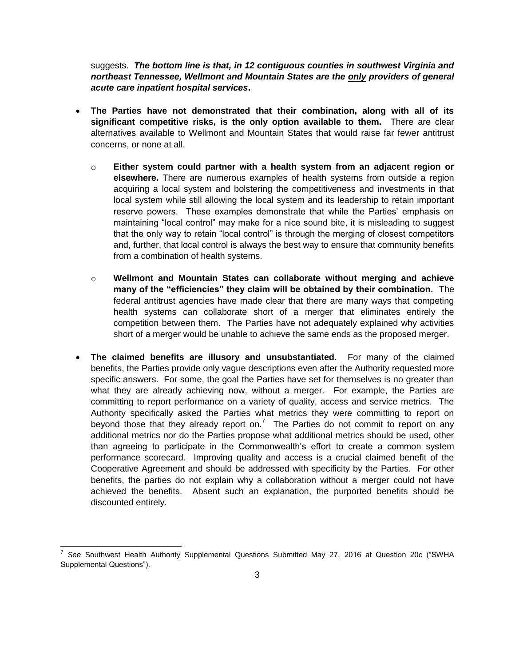suggests. *The bottom line is that, in 12 contiguous counties in southwest Virginia and northeast Tennessee, Wellmont and Mountain States are the only providers of general acute care inpatient hospital services***.**

- **The Parties have not demonstrated that their combination, along with all of its significant competitive risks, is the only option available to them.** There are clear alternatives available to Wellmont and Mountain States that would raise far fewer antitrust concerns, or none at all.
	- o **Either system could partner with a health system from an adjacent region or elsewhere.** There are numerous examples of health systems from outside a region acquiring a local system and bolstering the competitiveness and investments in that local system while still allowing the local system and its leadership to retain important reserve powers. These examples demonstrate that while the Parties' emphasis on maintaining "local control" may make for a nice sound bite, it is misleading to suggest that the only way to retain "local control" is through the merging of closest competitors and, further, that local control is always the best way to ensure that community benefits from a combination of health systems.
	- o **Wellmont and Mountain States can collaborate without merging and achieve many of the "efficiencies" they claim will be obtained by their combination.** The federal antitrust agencies have made clear that there are many ways that competing health systems can collaborate short of a merger that eliminates entirely the competition between them. The Parties have not adequately explained why activities short of a merger would be unable to achieve the same ends as the proposed merger.
- **The claimed benefits are illusory and unsubstantiated.** For many of the claimed benefits, the Parties provide only vague descriptions even after the Authority requested more specific answers. For some, the goal the Parties have set for themselves is no greater than what they are already achieving now, without a merger. For example, the Parties are committing to report performance on a variety of quality, access and service metrics. The Authority specifically asked the Parties what metrics they were committing to report on beyond those that they already report on.<sup>7</sup> The Parties do not commit to report on any additional metrics nor do the Parties propose what additional metrics should be used, other than agreeing to participate in the Commonwealth's effort to create a common system performance scorecard. Improving quality and access is a crucial claimed benefit of the Cooperative Agreement and should be addressed with specificity by the Parties. For other benefits, the parties do not explain why a collaboration without a merger could not have achieved the benefits. Absent such an explanation, the purported benefits should be discounted entirely.

 7 *See* Southwest Health Authority Supplemental Questions Submitted May 27, 2016 at Question 20c ("SWHA Supplemental Questions").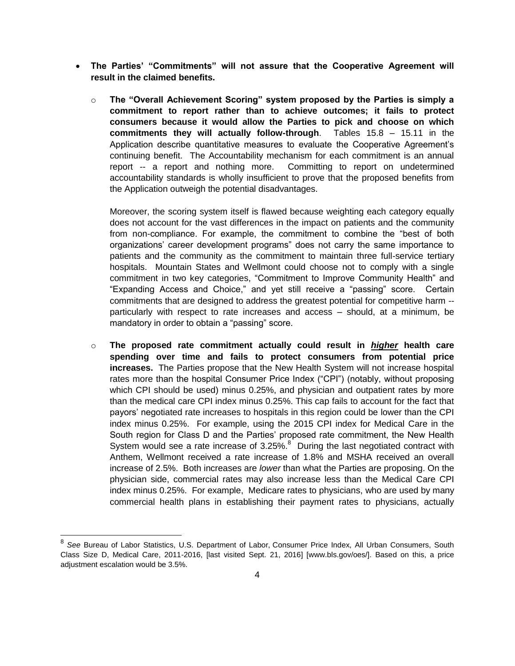- **The Parties' "Commitments" will not assure that the Cooperative Agreement will result in the claimed benefits.** 
	- o **The "Overall Achievement Scoring" system proposed by the Parties is simply a commitment to report rather than to achieve outcomes; it fails to protect consumers because it would allow the Parties to pick and choose on which commitments they will actually follow-through**. Tables 15.8 – 15.11 in the Application describe quantitative measures to evaluate the Cooperative Agreement's continuing benefit. The Accountability mechanism for each commitment is an annual report -- a report and nothing more. Committing to report on undetermined accountability standards is wholly insufficient to prove that the proposed benefits from the Application outweigh the potential disadvantages.

Moreover, the scoring system itself is flawed because weighting each category equally does not account for the vast differences in the impact on patients and the community from non-compliance. For example, the commitment to combine the "best of both organizations' career development programs" does not carry the same importance to patients and the community as the commitment to maintain three full-service tertiary hospitals. Mountain States and Wellmont could choose not to comply with a single commitment in two key categories, "Commitment to Improve Community Health" and "Expanding Access and Choice," and yet still receive a "passing" score. Certain commitments that are designed to address the greatest potential for competitive harm - particularly with respect to rate increases and access – should, at a minimum, be mandatory in order to obtain a "passing" score.

o **The proposed rate commitment actually could result in** *higher* **health care spending over time and fails to protect consumers from potential price increases.** The Parties propose that the New Health System will not increase hospital rates more than the hospital Consumer Price Index ("CPI") (notably, without proposing which CPI should be used) minus 0.25%, and physician and outpatient rates by more than the medical care CPI index minus 0.25%. This cap fails to account for the fact that payors' negotiated rate increases to hospitals in this region could be lower than the CPI index minus 0.25%. For example, using the 2015 CPI index for Medical Care in the South region for Class D and the Parties' proposed rate commitment, the New Health System would see a rate increase of  $3.25\%$ . During the last negotiated contract with Anthem, Wellmont received a rate increase of 1.8% and MSHA received an overall increase of 2.5%. Both increases are *lower* than what the Parties are proposing. On the physician side, commercial rates may also increase less than the Medical Care CPI index minus 0.25%. For example, Medicare rates to physicians, who are used by many commercial health plans in establishing their payment rates to physicians, actually

<sup>&</sup>lt;sup>8</sup> See Bureau of Labor Statistics, U.S. Department of Labor, Consumer Price Index, All Urban Consumers, South Class Size D, Medical Care, 2011-2016, [last visited Sept. 21, 2016] [www.bls.gov/oes/]. Based on this, a price adjustment escalation would be 3.5%.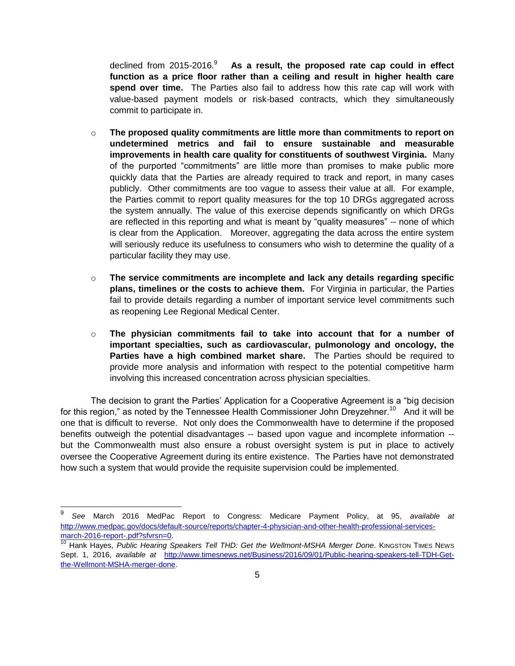declined from 2015-2016.<sup>9</sup> As a result, the proposed rate cap could in effect **function as a price floor rather than a ceiling and result in higher health care spend over time.** The Parties also fail to address how this rate cap will work with value-based payment models or risk-based contracts, which they simultaneously commit to participate in.

- o **The proposed quality commitments are little more than commitments to report on undetermined metrics and fail to ensure sustainable and measurable improvements in health care quality for constituents of southwest Virginia.** Many of the purported "commitments" are little more than promises to make public more quickly data that the Parties are already required to track and report, in many cases publicly. Other commitments are too vague to assess their value at all. For example, the Parties commit to report quality measures for the top 10 DRGs aggregated across the system annually. The value of this exercise depends significantly on which DRGs are reflected in this reporting and what is meant by "quality measures" -- none of which is clear from the Application. Moreover, aggregating the data across the entire system will seriously reduce its usefulness to consumers who wish to determine the quality of a particular facility they may use.
- o **The service commitments are incomplete and lack any details regarding specific plans, timelines or the costs to achieve them.** For Virginia in particular, the Parties fail to provide details regarding a number of important service level commitments such as reopening Lee Regional Medical Center.
- o **The physician commitments fail to take into account that for a number of important specialties, such as cardiovascular, pulmonology and oncology, the Parties have a high combined market share.** The Parties should be required to provide more analysis and information with respect to the potential competitive harm involving this increased concentration across physician specialties.

The decision to grant the Parties' Application for a Cooperative Agreement is a "big decision for this region," as noted by the Tennessee Health Commissioner John Dreyzehner.<sup>10</sup> And it will be one that is difficult to reverse. Not only does the Commonwealth have to determine if the proposed benefits outweigh the potential disadvantages -- based upon vague and incomplete information - but the Commonwealth must also ensure a robust oversight system is put in place to actively oversee the Cooperative Agreement during its entire existence. The Parties have not demonstrated how such a system that would provide the requisite supervision could be implemented.

l

<sup>9</sup> *See* March 2016 MedPac Report to Congress: Medicare Payment Policy, at 95, *available at* [http://www.medpac.gov/docs/default-source/reports/chapter-4-physician-and-other-health-professional-services](http://www.medpac.gov/docs/default-source/reports/chapter-4-physician-and-other-health-professional-services-march-2016-report-.pdf?sfvrsn=0)[march-2016-report-.pdf?sfvrsn=0.](http://www.medpac.gov/docs/default-source/reports/chapter-4-physician-and-other-health-professional-services-march-2016-report-.pdf?sfvrsn=0)

<sup>&</sup>lt;sup>10</sup> Hank Hayes, Public Hearing Speakers Tell THD: Get the Wellmont-MSHA Merger Done. KINGSTON TIMES NEWS Sept. 1, 2016, *available at* [http://www.timesnews.net/Business/2016/09/01/Public-hearing-speakers-tell-TDH-Get](https://urldefense.proofpoint.com/v2/url?u=http-3A__www.timesnews.net_Business_2016_09_01_Public-2Dhearing-2Dspeakers-2Dtell-2DTDH-2DGet-2Dthe-2DWellmont-2DMSHA-2Dmerger-2Ddone&d=DQMFaQ&c=A-GX6P9ovB1qTBp7iQve2Q&r=ouQEJSzmmnAARGo7Ekzxoy6uuHw8G3QnXlnthPqepPg&m=PCN0UB5ArxNREmz0y3eN-SDUDb2ooALq9-f2EDsRFdA&s=xVuRA6uZn12iqzrz9ltDoIacmrx3wlU79LNdU4FuSb8&e=)[the-Wellmont-MSHA-merger-done.](https://urldefense.proofpoint.com/v2/url?u=http-3A__www.timesnews.net_Business_2016_09_01_Public-2Dhearing-2Dspeakers-2Dtell-2DTDH-2DGet-2Dthe-2DWellmont-2DMSHA-2Dmerger-2Ddone&d=DQMFaQ&c=A-GX6P9ovB1qTBp7iQve2Q&r=ouQEJSzmmnAARGo7Ekzxoy6uuHw8G3QnXlnthPqepPg&m=PCN0UB5ArxNREmz0y3eN-SDUDb2ooALq9-f2EDsRFdA&s=xVuRA6uZn12iqzrz9ltDoIacmrx3wlU79LNdU4FuSb8&e=)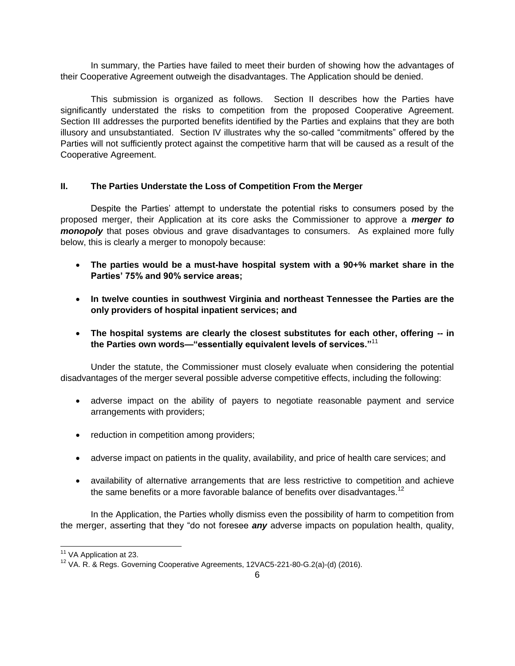In summary, the Parties have failed to meet their burden of showing how the advantages of their Cooperative Agreement outweigh the disadvantages. The Application should be denied.

This submission is organized as follows. Section II describes how the Parties have significantly understated the risks to competition from the proposed Cooperative Agreement. Section III addresses the purported benefits identified by the Parties and explains that they are both illusory and unsubstantiated. Section IV illustrates why the so-called "commitments" offered by the Parties will not sufficiently protect against the competitive harm that will be caused as a result of the Cooperative Agreement.

# <span id="page-7-0"></span>**II. The Parties Understate the Loss of Competition From the Merger**

Despite the Parties' attempt to understate the potential risks to consumers posed by the proposed merger, their Application at its core asks the Commissioner to approve a *merger to monopoly* that poses obvious and grave disadvantages to consumers. As explained more fully below, this is clearly a merger to monopoly because:

- **The parties would be a must-have hospital system with a 90+% market share in the Parties' 75% and 90% service areas;**
- **In twelve counties in southwest Virginia and northeast Tennessee the Parties are the only providers of hospital inpatient services; and**
- **The hospital systems are clearly the closest substitutes for each other, offering -- in the Parties own words—"essentially equivalent levels of services."**<sup>11</sup>

Under the statute, the Commissioner must closely evaluate when considering the potential disadvantages of the merger several possible adverse competitive effects, including the following:

- adverse impact on the ability of payers to negotiate reasonable payment and service arrangements with providers;
- reduction in competition among providers;
- adverse impact on patients in the quality, availability, and price of health care services; and
- availability of alternative arrangements that are less restrictive to competition and achieve the same benefits or a more favorable balance of benefits over disadvantages.<sup>12</sup>

In the Application, the Parties wholly dismiss even the possibility of harm to competition from the merger, asserting that they "do not foresee *any* adverse impacts on population health, quality,

 $\overline{\phantom{a}}$ 

<sup>&</sup>lt;sup>11</sup> VA Application at 23.

<sup>&</sup>lt;sup>12</sup> VA. R. & Reas. Governing Cooperative Agreements, 12VAC5-221-80-G.2(a)-(d) (2016).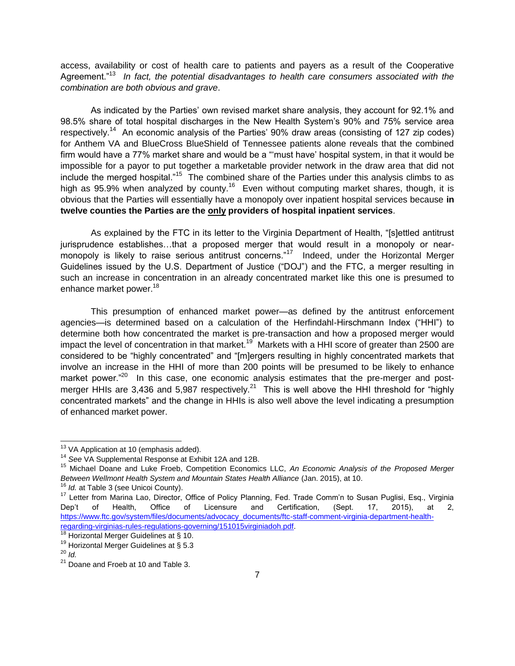access, availability or cost of health care to patients and payers as a result of the Cooperative Agreement."<sup>13</sup> In fact, the potential disadvantages to health care consumers associated with the *combination are both obvious and grave*.

As indicated by the Parties' own revised market share analysis, they account for 92.1% and 98.5% share of total hospital discharges in the New Health System's 90% and 75% service area respectively.<sup>14</sup> An economic analysis of the Parties' 90% draw areas (consisting of 127 zip codes) for Anthem VA and BlueCross BlueShield of Tennessee patients alone reveals that the combined firm would have a 77% market share and would be a "'must have' hospital system, in that it would be impossible for a payor to put together a marketable provider network in the draw area that did not include the merged hospital."<sup>15</sup> The combined share of the Parties under this analysis climbs to as high as 95.9% when analyzed by county.<sup>16</sup> Even without computing market shares, though, it is obvious that the Parties will essentially have a monopoly over inpatient hospital services because **in twelve counties the Parties are the only providers of hospital inpatient services**.

As explained by the FTC in its letter to the Virginia Department of Health, "[s]ettled antitrust jurisprudence establishes…that a proposed merger that would result in a monopoly or nearmonopoly is likely to raise serious antitrust concerns."<sup>17</sup> Indeed, under the Horizontal Merger Guidelines issued by the U.S. Department of Justice ("DOJ") and the FTC, a merger resulting in such an increase in concentration in an already concentrated market like this one is presumed to enhance market power.<sup>18</sup>

This presumption of enhanced market power—as defined by the antitrust enforcement agencies—is determined based on a calculation of the Herfindahl-Hirschmann Index ("HHI") to determine both how concentrated the market is pre-transaction and how a proposed merger would impact the level of concentration in that market.<sup>19</sup> Markets with a HHI score of greater than 2500 are considered to be "highly concentrated" and "[m]ergers resulting in highly concentrated markets that involve an increase in the HHI of more than 200 points will be presumed to be likely to enhance market power."<sup>20</sup> In this case, one economic analysis estimates that the pre-merger and postmerger HHIs are 3,436 and 5,987 respectively.<sup>21</sup> This is well above the HHI threshold for "highly concentrated markets" and the change in HHIs is also well above the level indicating a presumption of enhanced market power.

 $13$  VA Application at 10 (emphasis added).

<sup>14</sup> *See* VA Supplemental Response at Exhibit 12A and 12B.

<sup>15</sup> Michael Doane and Luke Froeb, Competition Economics LLC, *An Economic Analysis of the Proposed Merger Between Wellmont Health System and Mountain States Health Alliance* (Jan. 2015), at 10.

<sup>16</sup> *Id.* at Table 3 (see Unicoi County).

<sup>&</sup>lt;sup>17</sup> Letter from Marina Lao, Director, Office of Policy Planning, Fed. Trade Comm'n to Susan Puglisi, Esq., Virginia Dep't of Health, Office of Licensure and Certification, (Sept. 17, 2015), at 2, [https://www.ftc.gov/system/files/documents/advocacy\\_documents/ftc-staff-comment-virginia-department-health](https://www.ftc.gov/system/files/documents/advocacy_documents/ftc-staff-comment-virginia-department-health-regarding-virginias-rules-regulations-governing/151015virginiadoh.pdf)[regarding-virginias-rules-regulations-governing/151015virginiadoh.pdf.](https://www.ftc.gov/system/files/documents/advocacy_documents/ftc-staff-comment-virginia-department-health-regarding-virginias-rules-regulations-governing/151015virginiadoh.pdf)

 $18$  Horizontal Merger Guidelines at § 10.

 $19$  Horizontal Merger Guidelines at § 5.3

 $^{20}$  *Id.* 

<sup>&</sup>lt;sup>21</sup> Doane and Froeb at 10 and Table 3.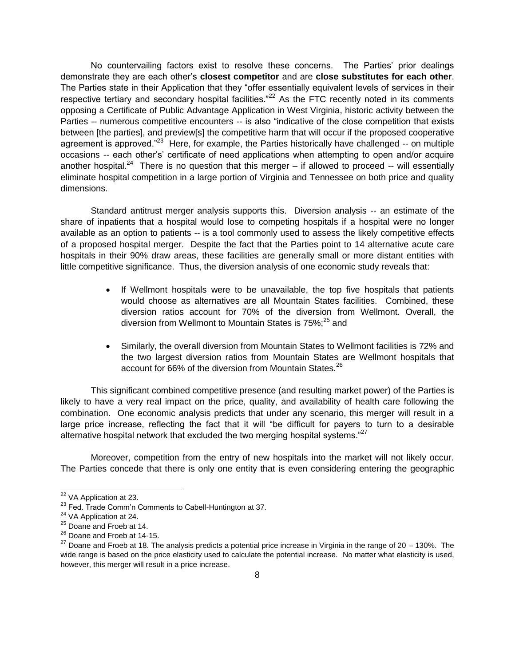No countervailing factors exist to resolve these concerns. The Parties' prior dealings demonstrate they are each other's **closest competitor** and are **close substitutes for each other**. The Parties state in their Application that they "offer essentially equivalent levels of services in their respective tertiary and secondary hospital facilities. $n^{22}$  As the FTC recently noted in its comments opposing a Certificate of Public Advantage Application in West Virginia, historic activity between the Parties -- numerous competitive encounters -- is also "indicative of the close competition that exists between [the parties], and preview[s] the competitive harm that will occur if the proposed cooperative agreement is approved."<sup>23</sup> Here, for example, the Parties historically have challenged -- on multiple occasions -- each other's' certificate of need applications when attempting to open and/or acquire another hospital.<sup>24</sup> There is no question that this merger  $-$  if allowed to proceed  $-$  will essentially eliminate hospital competition in a large portion of Virginia and Tennessee on both price and quality dimensions.

Standard antitrust merger analysis supports this. Diversion analysis -- an estimate of the share of inpatients that a hospital would lose to competing hospitals if a hospital were no longer available as an option to patients -- is a tool commonly used to assess the likely competitive effects of a proposed hospital merger. Despite the fact that the Parties point to 14 alternative acute care hospitals in their 90% draw areas, these facilities are generally small or more distant entities with little competitive significance. Thus, the diversion analysis of one economic study reveals that:

- If Wellmont hospitals were to be unavailable, the top five hospitals that patients would choose as alternatives are all Mountain States facilities. Combined, these diversion ratios account for 70% of the diversion from Wellmont. Overall, the diversion from Wellmont to Mountain States is  $75\%$ ;<sup>25</sup> and
- Similarly, the overall diversion from Mountain States to Wellmont facilities is 72% and the two largest diversion ratios from Mountain States are Wellmont hospitals that account for 66% of the diversion from Mountain States.<sup>26</sup>

This significant combined competitive presence (and resulting market power) of the Parties is likely to have a very real impact on the price, quality, and availability of health care following the combination. One economic analysis predicts that under any scenario, this merger will result in a large price increase, reflecting the fact that it will "be difficult for payers to turn to a desirable alternative hospital network that excluded the two merging hospital systems." $^{27}$ 

Moreover, competition from the entry of new hospitals into the market will not likely occur. The Parties concede that there is only one entity that is even considering entering the geographic

 $\overline{a}$ <sup>22</sup> VA Application at 23.

<sup>&</sup>lt;sup>23</sup> Fed. Trade Comm'n Comments to Cabell-Huntington at 37.

<sup>&</sup>lt;sup>24</sup> VA Application at 24.

<sup>&</sup>lt;sup>25</sup> Doane and Froeb at 14.

<sup>&</sup>lt;sup>26</sup> Doane and Froeb at 14-15.

 $27$  Doane and Froeb at 18. The analysis predicts a potential price increase in Virginia in the range of 20 – 130%. The wide range is based on the price elasticity used to calculate the potential increase. No matter what elasticity is used, however, this merger will result in a price increase.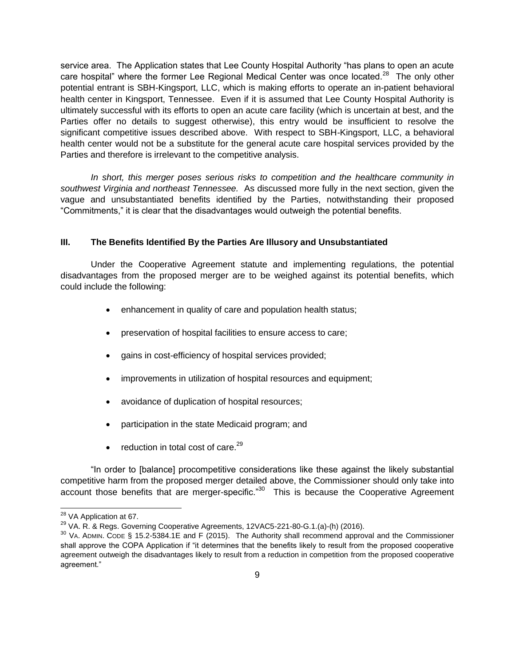service area. The Application states that Lee County Hospital Authority "has plans to open an acute care hospital" where the former Lee Regional Medical Center was once located.<sup>28</sup> The only other potential entrant is SBH-Kingsport, LLC, which is making efforts to operate an in-patient behavioral health center in Kingsport, Tennessee. Even if it is assumed that Lee County Hospital Authority is ultimately successful with its efforts to open an acute care facility (which is uncertain at best, and the Parties offer no details to suggest otherwise), this entry would be insufficient to resolve the significant competitive issues described above. With respect to SBH-Kingsport, LLC, a behavioral health center would not be a substitute for the general acute care hospital services provided by the Parties and therefore is irrelevant to the competitive analysis.

*In short, this merger poses serious risks to competition and the healthcare community in southwest Virginia and northeast Tennessee.* As discussed more fully in the next section, given the vague and unsubstantiated benefits identified by the Parties, notwithstanding their proposed "Commitments," it is clear that the disadvantages would outweigh the potential benefits.

#### <span id="page-10-0"></span>**III. The Benefits Identified By the Parties Are Illusory and Unsubstantiated**

Under the Cooperative Agreement statute and implementing regulations, the potential disadvantages from the proposed merger are to be weighed against its potential benefits, which could include the following:

- enhancement in quality of care and population health status;
- preservation of hospital facilities to ensure access to care;
- gains in cost-efficiency of hospital services provided;
- improvements in utilization of hospital resources and equipment;
- avoidance of duplication of hospital resources;
- participation in the state Medicaid program; and
- $\bullet$  reduction in total cost of care.<sup>29</sup>

"In order to [balance] procompetitive considerations like these against the likely substantial competitive harm from the proposed merger detailed above, the Commissioner should only take into account those benefits that are merger-specific."<sup>30</sup> This is because the Cooperative Agreement

<sup>&</sup>lt;sup>28</sup> VA Application at 67.

<sup>&</sup>lt;sup>29</sup> VA. R. & Regs. Governing Cooperative Agreements, 12VAC5-221-80-G.1.(a)-(h) (2016).

 $30$  VA. ADMIN. CODE § 15.2-5384.1E and F (2015). The Authority shall recommend approval and the Commissioner shall approve the COPA Application if "it determines that the benefits likely to result from the proposed cooperative agreement outweigh the disadvantages likely to result from a reduction in competition from the proposed cooperative agreement."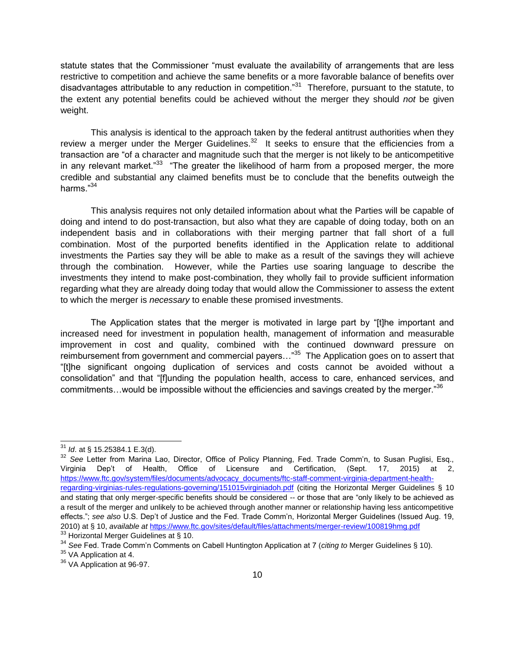statute states that the Commissioner "must evaluate the availability of arrangements that are less restrictive to competition and achieve the same benefits or a more favorable balance of benefits over disadvantages attributable to any reduction in competition."<sup>31</sup> Therefore, pursuant to the statute, to the extent any potential benefits could be achieved without the merger they should *not* be given weight.

This analysis is identical to the approach taken by the federal antitrust authorities when they review a merger under the Merger Guidelines.<sup>32</sup> It seeks to ensure that the efficiencies from a transaction are "of a character and magnitude such that the merger is not likely to be anticompetitive in any relevant market."<sup>33</sup> "The greater the likelihood of harm from a proposed merger, the more credible and substantial any claimed benefits must be to conclude that the benefits outweigh the harms."<sup>34</sup>

This analysis requires not only detailed information about what the Parties will be capable of doing and intend to do post-transaction, but also what they are capable of doing today, both on an independent basis and in collaborations with their merging partner that fall short of a full combination. Most of the purported benefits identified in the Application relate to additional investments the Parties say they will be able to make as a result of the savings they will achieve through the combination. However, while the Parties use soaring language to describe the investments they intend to make post-combination, they wholly fail to provide sufficient information regarding what they are already doing today that would allow the Commissioner to assess the extent to which the merger is *necessary* to enable these promised investments.

The Application states that the merger is motivated in large part by "[t]he important and increased need for investment in population health, management of information and measurable improvement in cost and quality, combined with the continued downward pressure on reimbursement from government and commercial payers..."<sup>35</sup> The Application goes on to assert that "[t]he significant ongoing duplication of services and costs cannot be avoided without a consolidation" and that "[f]unding the population health, access to care, enhanced services, and commitments…would be impossible without the efficiencies and savings created by the merger." $36$ 

 $\overline{a}$ <sup>31</sup> *Id*. at § 15.25384.1 E.3(d).

<sup>&</sup>lt;sup>32</sup> See Letter from Marina Lao, Director, Office of Policy Planning, Fed. Trade Comm'n, to Susan Puglisi, Esq., Virginia Dep't of Health, Office of Licensure and Certification, (Sept. 17, 2015) at 2, [https://www.ftc.gov/system/files/documents/advocacy\\_documents/ftc-staff-comment-virginia-department-health](https://www.ftc.gov/system/files/documents/advocacy_documents/ftc-staff-comment-virginia-department-health-regarding-virginias-rules-regulations-governing/151015virginiadoh.pdf)[regarding-virginias-rules-regulations-governing/151015virginiadoh.pdf](https://www.ftc.gov/system/files/documents/advocacy_documents/ftc-staff-comment-virginia-department-health-regarding-virginias-rules-regulations-governing/151015virginiadoh.pdf) (citing the Horizontal Merger Guidelines § 10 and stating that only merger-specific benefits should be considered -- or those that are "only likely to be achieved as a result of the merger and unlikely to be achieved through another manner or relationship having less anticompetitive effects."; *see also* U.S. Dep't of Justice and the Fed. Trade Comm'n, Horizontal Merger Guidelines (Issued Aug. 19, 2010) at § 10, *available at* <https://www.ftc.gov/sites/default/files/attachments/merger-review/100819hmg.pdf> <sup>33</sup> Horizontal Merger Guidelines at § 10.

<sup>34</sup> *See* Fed. Trade Comm'n Comments on Cabell Huntington Application at 7 (*citing to* Merger Guidelines § 10).

<sup>&</sup>lt;sup>35</sup> VA Application at 4.

<sup>&</sup>lt;sup>36</sup> VA Application at 96-97.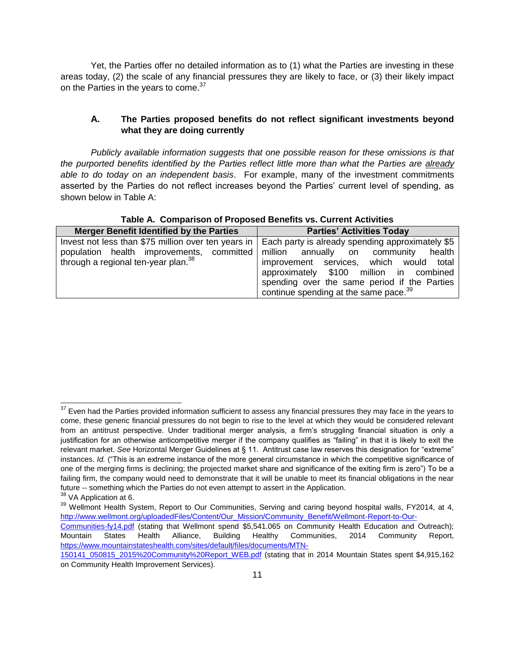Yet, the Parties offer no detailed information as to (1) what the Parties are investing in these areas today, (2) the scale of any financial pressures they are likely to face, or (3) their likely impact on the Parties in the years to come.<sup>37</sup>

#### <span id="page-12-0"></span>**A. The Parties proposed benefits do not reflect significant investments beyond what they are doing currently**

*Publicly available information suggests that one possible reason for these omissions is that the purported benefits identified by the Parties reflect little more than what the Parties are already able to do today on an independent basis*. For example, many of the investment commitments asserted by the Parties do not reflect increases beyond the Parties' current level of spending, as shown below in Table A:

| Table A. Comparison of Proposed Benefits vs. Current Activities |  |
|-----------------------------------------------------------------|--|
|-----------------------------------------------------------------|--|

| <b>Merger Benefit Identified by the Parties</b>                                                              | <b>Parties' Activities Today</b>                  |
|--------------------------------------------------------------------------------------------------------------|---------------------------------------------------|
| Invest not less than \$75 million over ten years in $\vert$ Each party is already spending approximately \$5 |                                                   |
| population health improvements, committed                                                                    | million annually on community<br>health           |
| through a regional ten-year plan. <sup>38</sup>                                                              | improvement services, which would total           |
|                                                                                                              | approximately \$100 million in combined           |
|                                                                                                              | spending over the same period if the Parties      |
|                                                                                                              | continue spending at the same pace. <sup>39</sup> |

 $37$  Even had the Parties provided information sufficient to assess any financial pressures they may face in the years to come, these generic financial pressures do not begin to rise to the level at which they would be considered relevant from an antitrust perspective. Under traditional merger analysis, a firm's struggling financial situation is only a justification for an otherwise anticompetitive merger if the company qualifies as "failing" in that it is likely to exit the relevant market. *See* Horizontal Merger Guidelines at § 11. Antitrust case law reserves this designation for "extreme" instances. *Id.* ("This is an extreme instance of the more general circumstance in which the competitive significance of one of the merging firms is declining; the projected market share and significance of the exiting firm is zero") To be a failing firm, the company would need to demonstrate that it will be unable to meet its financial obligations in the near future -- something which the Parties do not even attempt to assert in the Application.

<sup>&</sup>lt;sup>38</sup> VA Application at 6.

<sup>&</sup>lt;sup>39</sup> Wellmont Health System, Report to Our Communities, Serving and caring beyond hospital walls, FY2014, at 4, [http://www.wellmont.org/uploadedFiles/Content/Our\\_Mission/Community\\_Benefit/Wellmont-Report-to-Our-](http://www.wellmont.org/uploadedFiles/Content/Our_Mission/Community_Benefit/Wellmont-Report-to-Our-Communities-fy14.pdf)

[Communities-fy14.pdf](http://www.wellmont.org/uploadedFiles/Content/Our_Mission/Community_Benefit/Wellmont-Report-to-Our-Communities-fy14.pdf) (stating that Wellmont spend \$5,541.065 on Community Health Education and Outreach); Mountain States Health Alliance, Building Healthy Communities, 2014 Community Report, [https://www.mountainstateshealth.com/sites/default/files/documents/MTN-](https://www.mountainstateshealth.com/sites/default/files/documents/MTN-150141_050815_2015%20Community%20Report_WEB.pdf)

[<sup>150141</sup>\\_050815\\_2015%20Community%20Report\\_WEB.pdf](https://www.mountainstateshealth.com/sites/default/files/documents/MTN-150141_050815_2015%20Community%20Report_WEB.pdf) (stating that in 2014 Mountain States spent \$4,915,162 on Community Health Improvement Services).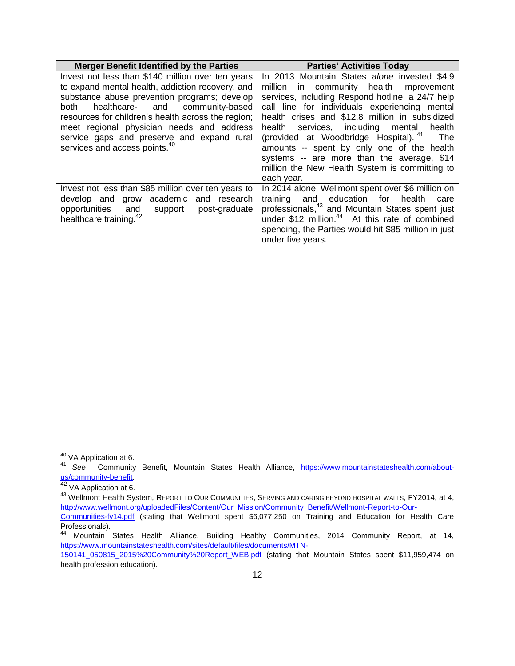| <b>Merger Benefit Identified by the Parties</b>                                                                                                                                                                                                                                                                                                                                                | <b>Parties' Activities Today</b>                                                                                                                                                                                                                                                                                                                                                                                                                                                                                  |  |  |
|------------------------------------------------------------------------------------------------------------------------------------------------------------------------------------------------------------------------------------------------------------------------------------------------------------------------------------------------------------------------------------------------|-------------------------------------------------------------------------------------------------------------------------------------------------------------------------------------------------------------------------------------------------------------------------------------------------------------------------------------------------------------------------------------------------------------------------------------------------------------------------------------------------------------------|--|--|
| Invest not less than \$140 million over ten years<br>to expand mental health, addiction recovery, and<br>substance abuse prevention programs; develop<br>healthcare- and community-based<br>both<br>resources for children's health across the region;<br>meet regional physician needs and address<br>service gaps and preserve and expand rural<br>services and access points. <sup>40</sup> | In 2013 Mountain States alone invested \$4.9<br>million in community health improvement<br>services, including Respond hotline, a 24/7 help<br>call line for individuals experiencing mental<br>health crises and \$12.8 million in subsidized<br>health services, including mental<br>health<br>(provided at Woodbridge Hospital). <sup>41</sup> The<br>amounts -- spent by only one of the health<br>systems -- are more than the average, \$14<br>million the New Health System is committing to<br>each year. |  |  |
| Invest not less than \$85 million over ten years to<br>develop and grow academic and research<br>and support<br>opportunities<br>post-graduate<br>healthcare training. <sup>42</sup>                                                                                                                                                                                                           | In 2014 alone, Wellmont spent over \$6 million on<br>training and education for health<br>care<br>professionals, <sup>43</sup> and Mountain States spent just<br>under \$12 million. <sup>44</sup> At this rate of combined<br>spending, the Parties would hit \$85 million in just<br>under five years.                                                                                                                                                                                                          |  |  |

 $\overline{a}$ <sup>40</sup> VA Application at 6.

<sup>41</sup> *See* Community Benefit, Mountain States Health Alliance, [https://www.mountainstateshealth.com/about](https://www.mountainstateshealth.com/about-us/community-benefit)[us/community-benefit.](https://www.mountainstateshealth.com/about-us/community-benefit)

<sup>42</sup> VA Application at 6.

<sup>&</sup>lt;sup>43</sup> Wellmont Health System, REPORT TO OUR COMMUNITIES, SERVING AND CARING BEYOND HOSPITAL WALLS, FY2014, at 4, [http://www.wellmont.org/uploadedFiles/Content/Our\\_Mission/Community\\_Benefit/Wellmont-Report-to-Our-](http://www.wellmont.org/uploadedFiles/Content/Our_Mission/Community_Benefit/Wellmont-Report-to-Our-Communities-fy14.pdf)

[Communities-fy14.pdf](http://www.wellmont.org/uploadedFiles/Content/Our_Mission/Community_Benefit/Wellmont-Report-to-Our-Communities-fy14.pdf) (stating that Wellmont spent \$6,077,250 on Training and Education for Health Care Professionals).<br><sup>44</sup> Mountain

<sup>44</sup> Mountain States Health Alliance, Building Healthy Communities, 2014 Community Report, at 14, [https://www.mountainstateshealth.com/sites/default/files/documents/MTN-](https://www.mountainstateshealth.com/sites/default/files/documents/MTN-150141_050815_2015%20Community%20Report_WEB.pdf)

[<sup>150141</sup>\\_050815\\_2015%20Community%20Report\\_WEB.pdf](https://www.mountainstateshealth.com/sites/default/files/documents/MTN-150141_050815_2015%20Community%20Report_WEB.pdf) (stating that Mountain States spent \$11,959,474 on health profession education).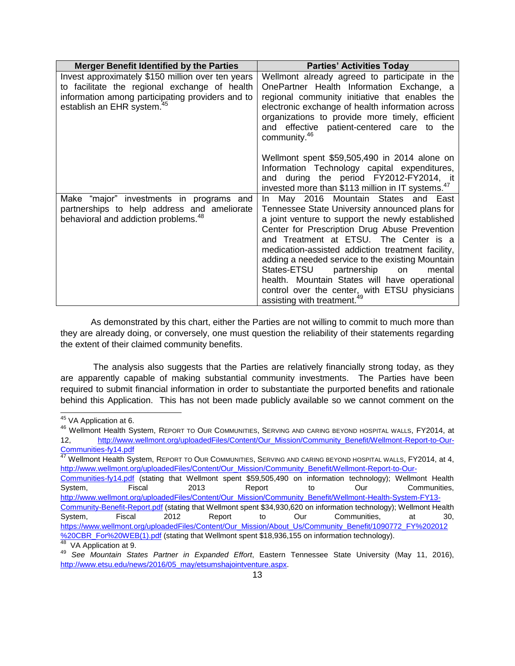| <b>Merger Benefit Identified by the Parties</b>                                                                                                                                                  | <b>Parties' Activities Today</b>                                                                                                                                                                                                                                                                                                                                                                                                                                                                                                                |
|--------------------------------------------------------------------------------------------------------------------------------------------------------------------------------------------------|-------------------------------------------------------------------------------------------------------------------------------------------------------------------------------------------------------------------------------------------------------------------------------------------------------------------------------------------------------------------------------------------------------------------------------------------------------------------------------------------------------------------------------------------------|
| Invest approximately \$150 million over ten years<br>to facilitate the regional exchange of health<br>information among participating providers and to<br>establish an EHR system. <sup>45</sup> | Wellmont already agreed to participate in the<br>OnePartner Health Information Exchange, a<br>regional community initiative that enables the<br>electronic exchange of health information across<br>organizations to provide more timely, efficient<br>and effective patient-centered care to the<br>community. <sup>46</sup>                                                                                                                                                                                                                   |
|                                                                                                                                                                                                  | Wellmont spent \$59,505,490 in 2014 alone on<br>Information Technology capital expenditures,<br>and during the period FY2012-FY2014, it<br>invested more than \$113 million in IT systems. <sup>47</sup>                                                                                                                                                                                                                                                                                                                                        |
| Make "major" investments in programs and<br>partnerships to help address and ameliorate<br>behavioral and addiction problems. <sup>48</sup>                                                      | May 2016 Mountain States and East<br>In In<br>Tennessee State University announced plans for<br>a joint venture to support the newly established<br>Center for Prescription Drug Abuse Prevention<br>and Treatment at ETSU. The Center is a<br>medication-assisted addiction treatment facility,<br>adding a needed service to the existing Mountain<br>States-ETSU<br>partnership<br>on<br>mental<br>health. Mountain States will have operational<br>control over the center, with ETSU physicians<br>assisting with treatment. <sup>49</sup> |

As demonstrated by this chart, either the Parties are not willing to commit to much more than they are already doing, or conversely, one must question the reliability of their statements regarding the extent of their claimed community benefits.

The analysis also suggests that the Parties are relatively financially strong today, as they are apparently capable of making substantial community investments. The Parties have been required to submit financial information in order to substantiate the purported benefits and rationale behind this Application. This has not been made publicly available so we cannot comment on the

[Communities-fy14.pdf](http://www.wellmont.org/uploadedFiles/Content/Our_Mission/Community_Benefit/Wellmont-Report-to-Our-Communities-fy14.pdf) (stating that Wellmont spent \$59,505,490 on information technology); Wellmont Health System, Fiscal 2013 Report to Our Communities, [http://www.wellmont.org/uploadedFiles/Content/Our\\_Mission/Community\\_Benefit/Wellmont-Health-System-FY13-](http://www.wellmont.org/uploadedFiles/Content/Our_Mission/Community_Benefit/Wellmont-Health-System-FY13-Community-Benefit-Report.pdf) [Community-Benefit-Report.pdf](http://www.wellmont.org/uploadedFiles/Content/Our_Mission/Community_Benefit/Wellmont-Health-System-FY13-Community-Benefit-Report.pdf) (stating that Wellmont spent \$34,930,620 on information technology); Wellmont Health System, Fiscal 2012 Report to Our Communities, at 30, [https://www.wellmont.org/uploadedFiles/Content/Our\\_Mission/About\\_Us/Community\\_Benefit/1090772\\_FY%202012](https://www.wellmont.org/uploadedFiles/Content/Our_Mission/About_Us/Community_Benefit/1090772_FY%202012%20CBR_For%20WEB(1).pdf) [%20CBR\\_For%20WEB\(1\).pdf](https://www.wellmont.org/uploadedFiles/Content/Our_Mission/About_Us/Community_Benefit/1090772_FY%202012%20CBR_For%20WEB(1).pdf) (stating that Wellmont spent \$18,936,155 on information technology). <sup>48</sup> VA Application at 9.

 $\overline{a}$ <sup>45</sup> VA Application at 6.

<sup>46</sup> Wellmont Health System, REPORT TO OUR COMMUNITIES, SERVING AND CARING BEYOND HOSPITAL WALLS, FY2014, at 12, [http://www.wellmont.org/uploadedFiles/Content/Our\\_Mission/Community\\_Benefit/Wellmont-Report-to-Our-](http://www.wellmont.org/uploadedFiles/Content/Our_Mission/Community_Benefit/Wellmont-Report-to-Our-Communities-fy14.pdf)[Communities-fy14.pdf](http://www.wellmont.org/uploadedFiles/Content/Our_Mission/Community_Benefit/Wellmont-Report-to-Our-Communities-fy14.pdf)

<sup>&</sup>lt;sup>47</sup> Wellmont Health System, REPORT TO OUR COMMUNITIES, SERVING AND CARING BEYOND HOSPITAL WALLS, FY2014, at 4, [http://www.wellmont.org/uploadedFiles/Content/Our\\_Mission/Community\\_Benefit/Wellmont-Report-to-Our-](http://www.wellmont.org/uploadedFiles/Content/Our_Mission/Community_Benefit/Wellmont-Report-to-Our-Communities-fy14.pdf)

<sup>49</sup> *See Mountain States Partner in Expanded Effort*, Eastern Tennessee State University (May 11, 2016), [http://www.etsu.edu/news/2016/05\\_may/etsumshajointventure.aspx.](http://www.etsu.edu/news/2016/05_may/etsumshajointventure.aspx)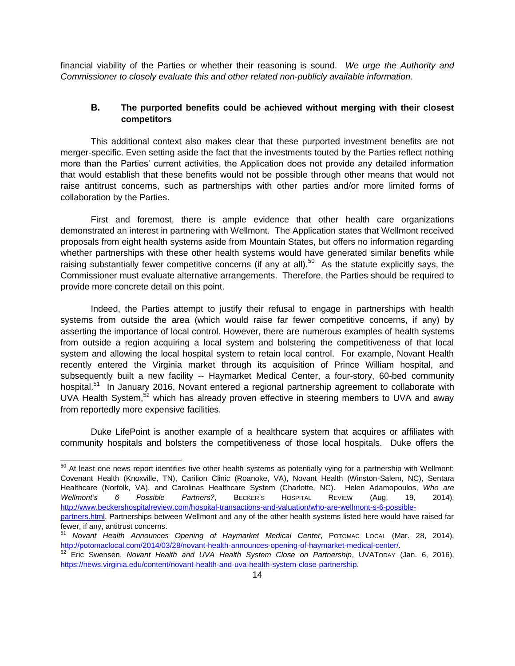<span id="page-15-0"></span>financial viability of the Parties or whether their reasoning is sound. *We urge the Authority and Commissioner to closely evaluate this and other related non-publicly available information*.

# **B. The purported benefits could be achieved without merging with their closest competitors**

This additional context also makes clear that these purported investment benefits are not merger-specific. Even setting aside the fact that the investments touted by the Parties reflect nothing more than the Parties' current activities, the Application does not provide any detailed information that would establish that these benefits would not be possible through other means that would not raise antitrust concerns, such as partnerships with other parties and/or more limited forms of collaboration by the Parties.

First and foremost, there is ample evidence that other health care organizations demonstrated an interest in partnering with Wellmont. The Application states that Wellmont received proposals from eight health systems aside from Mountain States, but offers no information regarding whether partnerships with these other health systems would have generated similar benefits while raising substantially fewer competitive concerns (if any at all).<sup>50</sup> As the statute explicitly says, the Commissioner must evaluate alternative arrangements. Therefore, the Parties should be required to provide more concrete detail on this point.

Indeed, the Parties attempt to justify their refusal to engage in partnerships with health systems from outside the area (which would raise far fewer competitive concerns, if any) by asserting the importance of local control. However, there are numerous examples of health systems from outside a region acquiring a local system and bolstering the competitiveness of that local system and allowing the local hospital system to retain local control. For example, Novant Health recently entered the Virginia market through its acquisition of Prince William hospital, and subsequently built a new facility -- Haymarket Medical Center, a four-story, 60-bed community hospital.<sup>51</sup> In January 2016, Novant entered a regional partnership agreement to collaborate with UVA Health System, $52$  which has already proven effective in steering members to UVA and away from reportedly more expensive facilities.

Duke LifePoint is another example of a healthcare system that acquires or affiliates with community hospitals and bolsters the competitiveness of those local hospitals. Duke offers the

 $\overline{a}$ 

 $50$  At least one news report identifies five other health systems as potentially vying for a partnership with Wellmont: Covenant Health (Knoxville, TN), Carilion Clinic (Roanoke, VA), Novant Health (Winston-Salem, NC), Sentara Healthcare (Norfolk, VA), and Carolinas Healthcare System (Charlotte, NC). Helen Adamopoulos, *Who are Wellmont's 6 Possible Partners?*, BECKER'S HOSPITAL REVIEW (Aug. 19, 2014), [http://www.beckershospitalreview.com/hospital-transactions-and-valuation/who-are-wellmont-s-6-possible-](http://www.beckershospitalreview.com/hospital-transactions-and-valuation/who-are-wellmont-s-6-possible-partners.html)

[partners.html.](http://www.beckershospitalreview.com/hospital-transactions-and-valuation/who-are-wellmont-s-6-possible-partners.html) Partnerships between Wellmont and any of the other health systems listed here would have raised far fewer, if any, antitrust concerns.

<sup>51</sup> *Novant Health Announces Opening of Haymarket Medical Center*, POTOMAC LOCAL (Mar. 28, 2014), [http://potomaclocal.com/2014/03/28/novant-health-announces-opening-of-haymarket-medical-center/.](http://potomaclocal.com/2014/03/28/novant-health-announces-opening-of-haymarket-medical-center/)

<sup>52</sup> Eric Swensen, *Novant Health and UVA Health System Close on Partnership*, UVATODAY (Jan. 6, 2016), [https://news.virginia.edu/content/novant-health-and-uva-health-system-close-partnership.](https://news.virginia.edu/content/novant-health-and-uva-health-system-close-partnership)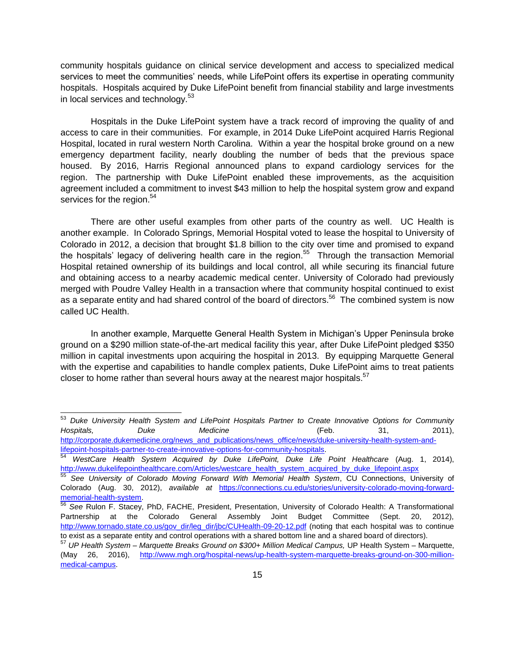community hospitals guidance on clinical service development and access to specialized medical services to meet the communities' needs, while LifePoint offers its expertise in operating community hospitals. Hospitals acquired by Duke LifePoint benefit from financial stability and large investments in local services and technology.<sup>53</sup>

Hospitals in the Duke LifePoint system have a track record of improving the quality of and access to care in their communities. For example, in 2014 Duke LifePoint acquired Harris Regional Hospital, located in rural western North Carolina. Within a year the hospital broke ground on a new emergency department facility, nearly doubling the number of beds that the previous space housed. By 2016, Harris Regional announced plans to expand cardiology services for the region. The partnership with Duke LifePoint enabled these improvements, as the acquisition agreement included a commitment to invest \$43 million to help the hospital system grow and expand services for the region. $54$ 

There are other useful examples from other parts of the country as well. UC Health is another example. In Colorado Springs, Memorial Hospital voted to lease the hospital to University of Colorado in 2012, a decision that brought \$1.8 billion to the city over time and promised to expand the hospitals' legacy of delivering health care in the region.<sup>55</sup> Through the transaction Memorial Hospital retained ownership of its buildings and local control, all while securing its financial future and obtaining access to a nearby academic medical center. University of Colorado had previously merged with Poudre Valley Health in a transaction where that community hospital continued to exist as a separate entity and had shared control of the board of directors.<sup>56</sup> The combined system is now called UC Health.

In another example, Marquette General Health System in Michigan's Upper Peninsula broke ground on a \$290 million state-of-the-art medical facility this year, after Duke LifePoint pledged \$350 million in capital investments upon acquiring the hospital in 2013. By equipping Marquette General with the expertise and capabilities to handle complex patients, Duke LifePoint aims to treat patients closer to home rather than several hours away at the nearest major hospitals.<sup>57</sup>

l

<sup>53</sup> *Duke University Health System and LifePoint Hospitals Partner to Create Innovative Options for Community Hospitals, Duke Medicine* (Feb. 31, 2011), [http://corporate.dukemedicine.org/news\\_and\\_publications/news\\_office/news/duke-university-health-system-and](http://corporate.dukemedicine.org/news_and_publications/news_office/news/duke-university-health-system-and-lifepoint-hospitals-partner-to-create-innovative-options-for-community-hospitals)[lifepoint-hospitals-partner-to-create-innovative-options-for-community-hospitals.](http://corporate.dukemedicine.org/news_and_publications/news_office/news/duke-university-health-system-and-lifepoint-hospitals-partner-to-create-innovative-options-for-community-hospitals)

<sup>54</sup> *WestCare Health System Acquired by Duke LifePoint, Duke Life Point Healthcare* (Aug. 1, 2014), [http://www.dukelifepointhealthcare.com/Articles/westcare\\_health\\_system\\_acquired\\_by\\_duke\\_lifepoint.aspx](http://www.dukelifepointhealthcare.com/Articles/westcare_health_system_acquired_by_duke_lifepoint.aspx)

<sup>55</sup> *See University of Colorado Moving Forward With Memorial Health System*, CU Connections, University of Colorado (Aug. 30, 2012), *available at* [https://connections.cu.edu/stories/university-colorado-moving-forward](https://connections.cu.edu/stories/university-colorado-moving-forward-memorial-health-system)[memorial-health-system.](https://connections.cu.edu/stories/university-colorado-moving-forward-memorial-health-system)

<sup>56</sup> *See* Rulon F. Stacey, PhD, FACHE, President, Presentation, University of Colorado Health: A Transformational Partnership at the Colorado General Assembly Joint Budget Committee (Sept. 20, 2012), [http://www.tornado.state.co.us/gov\\_dir/leg\\_dir/jbc/CUHealth-09-20-12.pdf](http://www.tornado.state.co.us/gov_dir/leg_dir/jbc/CUHealth-09-20-12.pdf) (noting that each hospital was to continue to exist as a separate entity and control operations with a shared bottom line and a shared board of directors).

<sup>57</sup> *UP Health System – Marquette Breaks Ground on \$300+ Million Medical Campus,* UP Health System – Marquette, (May 26, 2016), [http://www.mgh.org/hospital-news/up-health-system-marquette-breaks-ground-on-300-million](http://www.mgh.org/hospital-news/up-health-system-marquette-breaks-ground-on-300-million-medical-campus)[medical-campus.](http://www.mgh.org/hospital-news/up-health-system-marquette-breaks-ground-on-300-million-medical-campus)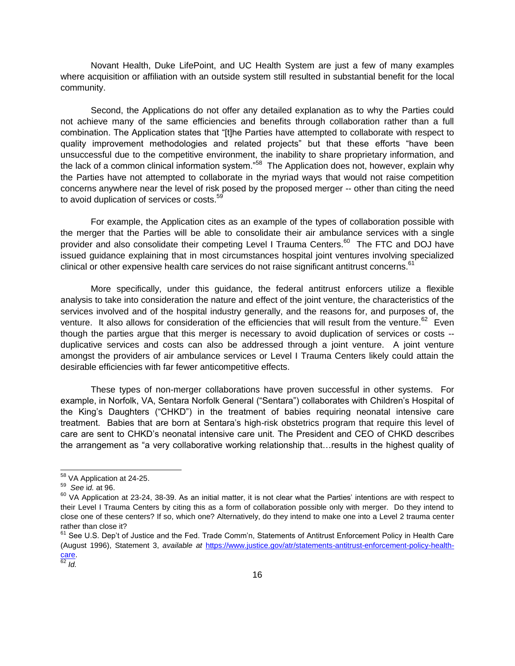Novant Health, Duke LifePoint, and UC Health System are just a few of many examples where acquisition or affiliation with an outside system still resulted in substantial benefit for the local community.

Second, the Applications do not offer any detailed explanation as to why the Parties could not achieve many of the same efficiencies and benefits through collaboration rather than a full combination. The Application states that "[t]he Parties have attempted to collaborate with respect to quality improvement methodologies and related projects" but that these efforts "have been unsuccessful due to the competitive environment, the inability to share proprietary information, and the lack of a common clinical information system."<sup>58</sup> The Application does not, however, explain why the Parties have not attempted to collaborate in the myriad ways that would not raise competition concerns anywhere near the level of risk posed by the proposed merger -- other than citing the need to avoid duplication of services or costs.<sup>59</sup>

For example, the Application cites as an example of the types of collaboration possible with the merger that the Parties will be able to consolidate their air ambulance services with a single provider and also consolidate their competing Level I Trauma Centers.<sup>60</sup> The FTC and DOJ have issued guidance explaining that in most circumstances hospital joint ventures involving specialized clinical or other expensive health care services do not raise significant antitrust concerns.<sup>61</sup>

More specifically, under this guidance, the federal antitrust enforcers utilize a flexible analysis to take into consideration the nature and effect of the joint venture, the characteristics of the services involved and of the hospital industry generally, and the reasons for, and purposes of, the venture. It also allows for consideration of the efficiencies that will result from the venture.<sup>62</sup> Even though the parties argue that this merger is necessary to avoid duplication of services or costs - duplicative services and costs can also be addressed through a joint venture. A joint venture amongst the providers of air ambulance services or Level I Trauma Centers likely could attain the desirable efficiencies with far fewer anticompetitive effects.

These types of non-merger collaborations have proven successful in other systems. For example, in Norfolk, VA, Sentara Norfolk General ("Sentara") collaborates with Children's Hospital of the King's Daughters ("CHKD") in the treatment of babies requiring neonatal intensive care treatment. Babies that are born at Sentara's high-risk obstetrics program that require this level of care are sent to CHKD's neonatal intensive care unit. The President and CEO of CHKD describes the arrangement as "a very collaborative working relationship that…results in the highest quality of

l

<sup>&</sup>lt;sup>58</sup> VA Application at 24-25.

<sup>59</sup> *See* i*d.* at 96.

 $60$  VA Application at 23-24, 38-39. As an initial matter, it is not clear what the Parties' intentions are with respect to their Level I Trauma Centers by citing this as a form of collaboration possible only with merger. Do they intend to close one of these centers? If so, which one? Alternatively, do they intend to make one into a Level 2 trauma center rather than close it?

<sup>&</sup>lt;sup>61</sup> See U.S. Dep't of Justice and the Fed. Trade Comm'n, Statements of Antitrust Enforcement Policy in Health Care (August 1996), Statement 3, *available at* [https://www.justice.gov/atr/statements-antitrust-enforcement-policy-health](https://www.justice.gov/atr/statements-antitrust-enforcement-policy-health-care)[care.](https://www.justice.gov/atr/statements-antitrust-enforcement-policy-health-care)

<sup>62</sup> *Id.*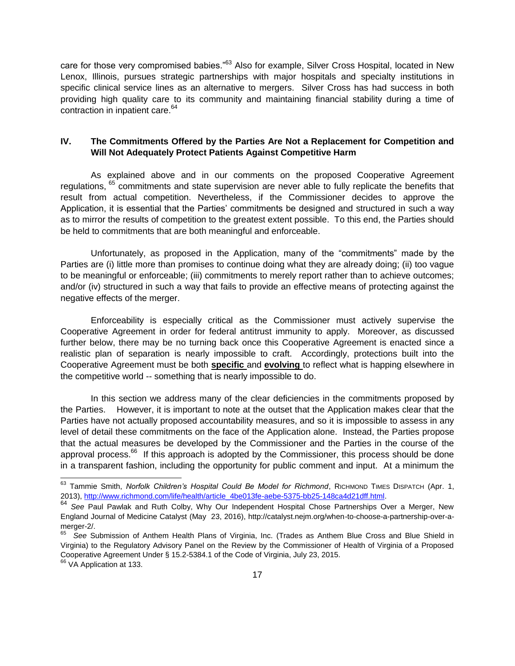care for those very compromised babies."<sup>63</sup> Also for example, Silver Cross Hospital, located in New Lenox, Illinois, pursues strategic partnerships with major hospitals and specialty institutions in specific clinical service lines as an alternative to mergers. Silver Cross has had success in both providing high quality care to its community and maintaining financial stability during a time of contraction in inpatient care.<sup>64</sup>

# <span id="page-18-0"></span>**IV. The Commitments Offered by the Parties Are Not a Replacement for Competition and Will Not Adequately Protect Patients Against Competitive Harm**

As explained above and in our comments on the proposed Cooperative Agreement regulations, <sup>65</sup> commitments and state supervision are never able to fully replicate the benefits that result from actual competition. Nevertheless, if the Commissioner decides to approve the Application, it is essential that the Parties' commitments be designed and structured in such a way as to mirror the results of competition to the greatest extent possible. To this end, the Parties should be held to commitments that are both meaningful and enforceable.

Unfortunately, as proposed in the Application, many of the "commitments" made by the Parties are (i) little more than promises to continue doing what they are already doing; (ii) too vague to be meaningful or enforceable; (iii) commitments to merely report rather than to achieve outcomes; and/or (iv) structured in such a way that fails to provide an effective means of protecting against the negative effects of the merger.

Enforceability is especially critical as the Commissioner must actively supervise the Cooperative Agreement in order for federal antitrust immunity to apply. Moreover, as discussed further below, there may be no turning back once this Cooperative Agreement is enacted since a realistic plan of separation is nearly impossible to craft. Accordingly, protections built into the Cooperative Agreement must be both **specific** and **evolving** to reflect what is happing elsewhere in the competitive world -- something that is nearly impossible to do.

In this section we address many of the clear deficiencies in the commitments proposed by the Parties. However, it is important to note at the outset that the Application makes clear that the Parties have not actually proposed accountability measures, and so it is impossible to assess in any level of detail these commitments on the face of the Application alone. Instead, the Parties propose that the actual measures be developed by the Commissioner and the Parties in the course of the approval process.<sup>66</sup> If this approach is adopted by the Commissioner, this process should be done in a transparent fashion, including the opportunity for public comment and input. At a minimum the

<sup>&</sup>lt;sup>63</sup> Tammie Smith, *Norfolk Children's Hospital Could Be Model for Richmond*, Richmond Times Dispatch (Apr. 1, 2013), [http://www.richmond.com/life/health/article\\_4be013fe-aebe-5375-bb25-148ca4d21dff.html.](http://www.richmond.com/life/health/article_4be013fe-aebe-5375-bb25-148ca4d21dff.html)

<sup>64</sup> *See* Paul Pawlak and Ruth Colby, Why Our Independent Hospital Chose Partnerships Over a Merger, New England Journal of Medicine Catalyst (May 23, 2016), http://catalyst.nejm.org/when-to-choose-a-partnership-over-amerger-2/.

<sup>65</sup> *See* Submission of Anthem Health Plans of Virginia, Inc. (Trades as Anthem Blue Cross and Blue Shield in Virginia) to the Regulatory Advisory Panel on the Review by the Commissioner of Health of Virginia of a Proposed Cooperative Agreement Under § 15.2-5384.1 of the Code of Virginia, July 23, 2015.

<sup>&</sup>lt;sup>66</sup> VA Application at 133.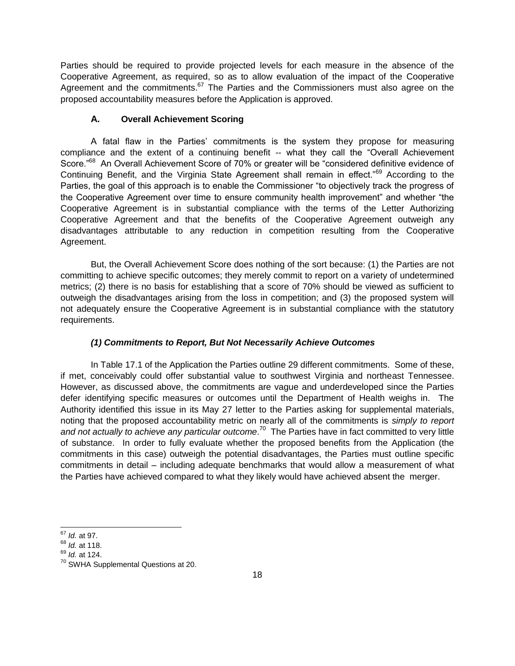Parties should be required to provide projected levels for each measure in the absence of the Cooperative Agreement, as required, so as to allow evaluation of the impact of the Cooperative Agreement and the commitments. $67$  The Parties and the Commissioners must also agree on the proposed accountability measures before the Application is approved.

# **A. Overall Achievement Scoring**

<span id="page-19-0"></span>A fatal flaw in the Parties' commitments is the system they propose for measuring compliance and the extent of a continuing benefit -- what they call the "Overall Achievement Score."<sup>68</sup> An Overall Achievement Score of 70% or greater will be "considered definitive evidence of Continuing Benefit, and the Virginia State Agreement shall remain in effect."<sup>69</sup> According to the Parties, the goal of this approach is to enable the Commissioner "to objectively track the progress of the Cooperative Agreement over time to ensure community health improvement" and whether "the Cooperative Agreement is in substantial compliance with the terms of the Letter Authorizing Cooperative Agreement and that the benefits of the Cooperative Agreement outweigh any disadvantages attributable to any reduction in competition resulting from the Cooperative Agreement.

But, the Overall Achievement Score does nothing of the sort because: (1) the Parties are not committing to achieve specific outcomes; they merely commit to report on a variety of undetermined metrics; (2) there is no basis for establishing that a score of 70% should be viewed as sufficient to outweigh the disadvantages arising from the loss in competition; and (3) the proposed system will not adequately ensure the Cooperative Agreement is in substantial compliance with the statutory requirements.

# *(1) Commitments to Report, But Not Necessarily Achieve Outcomes*

In Table 17.1 of the Application the Parties outline 29 different commitments. Some of these, if met, conceivably could offer substantial value to southwest Virginia and northeast Tennessee. However, as discussed above, the commitments are vague and underdeveloped since the Parties defer identifying specific measures or outcomes until the Department of Health weighs in. The Authority identified this issue in its May 27 letter to the Parties asking for supplemental materials, noting that the proposed accountability metric on nearly all of the commitments is *simply to report* and not actually to achieve any particular outcome.<sup>70</sup> The Parties have in fact committed to very little of substance. In order to fully evaluate whether the proposed benefits from the Application (the commitments in this case) outweigh the potential disadvantages, the Parties must outline specific commitments in detail – including adequate benchmarks that would allow a measurement of what the Parties have achieved compared to what they likely would have achieved absent the merger.

 $\overline{\phantom{a}}$ <sup>67</sup> *Id.* at 97.

<sup>68</sup> *Id.* at 118.

<sup>69</sup> *Id.* at 124.

<sup>70</sup> SWHA Supplemental Questions at 20.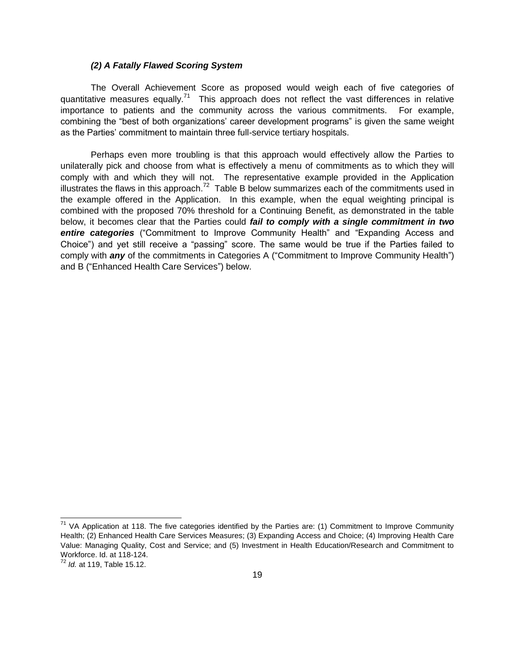# *(2) A Fatally Flawed Scoring System*

The Overall Achievement Score as proposed would weigh each of five categories of quantitative measures equally.<sup>71</sup> This approach does not reflect the vast differences in relative importance to patients and the community across the various commitments. For example, combining the "best of both organizations' career development programs" is given the same weight as the Parties' commitment to maintain three full-service tertiary hospitals.

Perhaps even more troubling is that this approach would effectively allow the Parties to unilaterally pick and choose from what is effectively a menu of commitments as to which they will comply with and which they will not. The representative example provided in the Application illustrates the flaws in this approach.<sup>72</sup> Table B below summarizes each of the commitments used in the example offered in the Application. In this example, when the equal weighting principal is combined with the proposed 70% threshold for a Continuing Benefit, as demonstrated in the table below, it becomes clear that the Parties could *fail to comply with a single commitment in two entire categories* ("Commitment to Improve Community Health" and "Expanding Access and Choice") and yet still receive a "passing" score. The same would be true if the Parties failed to comply with *any* of the commitments in Categories A ("Commitment to Improve Community Health") and B ("Enhanced Health Care Services") below.

 $71$  VA Application at 118. The five categories identified by the Parties are: (1) Commitment to Improve Community Health; (2) Enhanced Health Care Services Measures; (3) Expanding Access and Choice; (4) Improving Health Care Value: Managing Quality, Cost and Service; and (5) Investment in Health Education/Research and Commitment to Workforce. Id. at 118-124.

<sup>72</sup> *Id.* at 119, Table 15.12.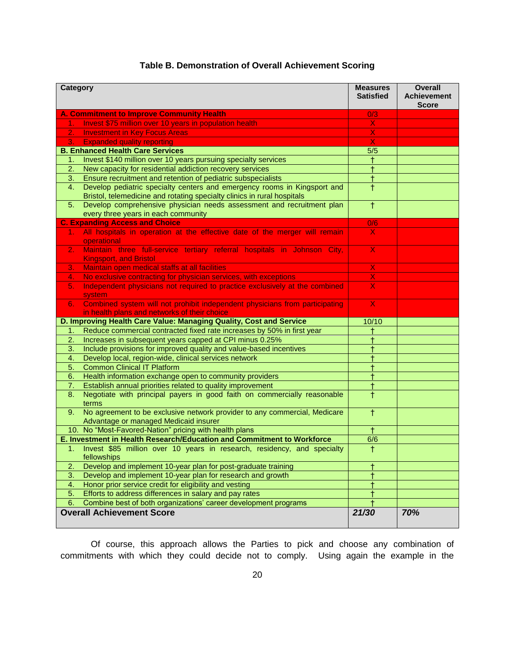| <b>Category</b>                  |                                                                                                                    | <b>Measures</b><br><b>Satisfied</b> | <b>Overall</b><br><b>Achievement</b><br><b>Score</b> |
|----------------------------------|--------------------------------------------------------------------------------------------------------------------|-------------------------------------|------------------------------------------------------|
|                                  | <b>A. Commitment to Improve Community Health</b>                                                                   | 0/3                                 |                                                      |
| 1.                               | Invest \$75 million over 10 years in population health                                                             | $\overline{\mathsf{X}}$             |                                                      |
| 2.                               | <b>Investment in Key Focus Areas</b>                                                                               | X                                   |                                                      |
| 3.                               | <b>Expanded quality reporting</b>                                                                                  | X                                   |                                                      |
|                                  | <b>B. Enhanced Health Care Services</b>                                                                            | 5/5                                 |                                                      |
| 1.                               | Invest \$140 million over 10 years pursuing specialty services                                                     | ŧ                                   |                                                      |
| 2.                               | New capacity for residential addiction recovery services                                                           | $\ddagger$                          |                                                      |
| 3.                               | Ensure recruitment and retention of pediatric subspecialists                                                       | ŧ                                   |                                                      |
| 4.                               | Develop pediatric specialty centers and emergency rooms in Kingsport and                                           | $\ddagger$                          |                                                      |
|                                  | Bristol, telemedicine and rotating specialty clinics in rural hospitals                                            |                                     |                                                      |
| 5.                               | Develop comprehensive physician needs assessment and recruitment plan                                              | $\overline{+}$                      |                                                      |
|                                  | every three years in each community                                                                                |                                     |                                                      |
|                                  | <b>C. Expanding Access and Choice</b>                                                                              | 0/6                                 |                                                      |
| 1.                               | All hospitals in operation at the effective date of the merger will remain                                         | $\mathsf{X}$                        |                                                      |
|                                  | operational                                                                                                        |                                     |                                                      |
| $\overline{2}$ .                 | Maintain three full-service tertiary referral hospitals in Johnson City,<br><b>Kingsport, and Bristol</b>          | $\overline{\mathsf{X}}$             |                                                      |
| 3.                               | Maintain open medical staffs at all facilities                                                                     | $\underline{X}$                     |                                                      |
| 4.                               | No exclusive contracting for physician services, with exceptions                                                   | $\mathsf{X}$                        |                                                      |
| 5.                               | Independent physicians not required to practice exclusively at the combined                                        | X                                   |                                                      |
|                                  | system                                                                                                             |                                     |                                                      |
| 6.                               | Combined system will not prohibit independent physicians from participating                                        | X.                                  |                                                      |
|                                  | in health plans and networks of their choice                                                                       |                                     |                                                      |
|                                  | D. Improving Health Care Value: Managing Quality, Cost and Service                                                 | 10/10                               |                                                      |
| 1.                               | Reduce commercial contracted fixed rate increases by 50% in first year                                             | Ŧ                                   |                                                      |
| 2.                               | Increases in subsequent years capped at CPI minus 0.25%                                                            | Ŧ                                   |                                                      |
| 3.                               | Include provisions for improved quality and value-based incentives                                                 |                                     |                                                      |
| 4.                               | Develop local, region-wide, clinical services network                                                              |                                     |                                                      |
| 5.                               | <b>Common Clinical IT Platform</b>                                                                                 |                                     |                                                      |
| 6.                               | Health information exchange open to community providers                                                            | $\ddagger$                          |                                                      |
| 7.                               | Establish annual priorities related to quality improvement                                                         | ŧ                                   |                                                      |
| 8.                               | Negotiate with principal payers in good faith on commercially reasonable<br>terms                                  | Ť                                   |                                                      |
| 9.                               | No agreement to be exclusive network provider to any commercial, Medicare<br>Advantage or managed Medicaid insurer | $\overline{+}$                      |                                                      |
|                                  | 10. No "Most-Favored-Nation" pricing with health plans                                                             | $\ddagger$                          |                                                      |
|                                  | E. Investment in Health Research/Education and Commitment to Workforce                                             | 6/6                                 |                                                      |
| 1.                               | Invest \$85 million over 10 years in research, residency, and specialty<br>fellowships                             | $\ddagger$                          |                                                      |
| 2.                               | Develop and implement 10-year plan for post-graduate training                                                      |                                     |                                                      |
| 3.                               | Develop and implement 10-year plan for research and growth                                                         |                                     |                                                      |
| 4.                               | Honor prior service credit for eligibility and vesting                                                             |                                     |                                                      |
|                                  |                                                                                                                    |                                     |                                                      |
| 5.                               | Efforts to address differences in salary and pay rates                                                             |                                     |                                                      |
| 6.                               | Combine best of both organizations' career development programs                                                    |                                     |                                                      |
| <b>Overall Achievement Score</b> |                                                                                                                    | 21/30                               | 70%                                                  |

# **Table B. Demonstration of Overall Achievement Scoring**

Of course, this approach allows the Parties to pick and choose any combination of commitments with which they could decide not to comply. Using again the example in the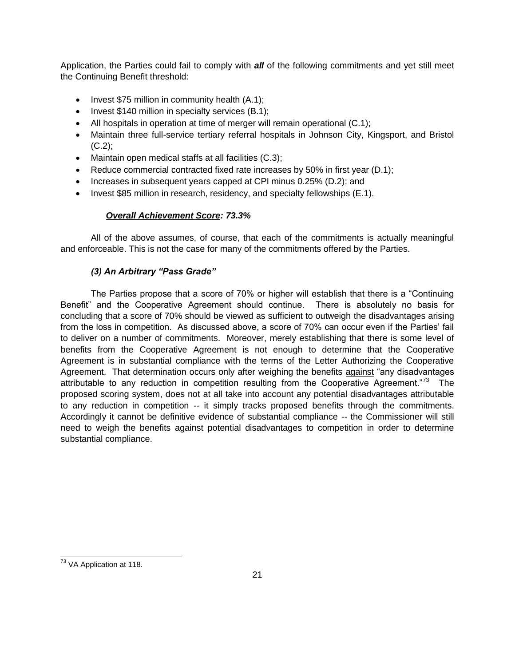Application, the Parties could fail to comply with *all* of the following commitments and yet still meet the Continuing Benefit threshold:

- Invest  $$75$  million in community health  $(A.1)$ ;
- $\bullet$  Invest \$140 million in specialty services (B.1);
- All hospitals in operation at time of merger will remain operational (C.1);
- Maintain three full-service tertiary referral hospitals in Johnson City, Kingsport, and Bristol  $(C.2)$ ;
- Maintain open medical staffs at all facilities (C.3);
- Reduce commercial contracted fixed rate increases by 50% in first year (D.1);
- Increases in subsequent years capped at CPI minus 0.25% (D.2); and
- Invest \$85 million in research, residency, and specialty fellowships (E.1).

# *Overall Achievement Score: 73.3%*

All of the above assumes, of course, that each of the commitments is actually meaningful and enforceable. This is not the case for many of the commitments offered by the Parties.

# *(3) An Arbitrary "Pass Grade"*

The Parties propose that a score of 70% or higher will establish that there is a "Continuing Benefit" and the Cooperative Agreement should continue. There is absolutely no basis for concluding that a score of 70% should be viewed as sufficient to outweigh the disadvantages arising from the loss in competition. As discussed above, a score of 70% can occur even if the Parties' fail to deliver on a number of commitments. Moreover, merely establishing that there is some level of benefits from the Cooperative Agreement is not enough to determine that the Cooperative Agreement is in substantial compliance with the terms of the Letter Authorizing the Cooperative Agreement. That determination occurs only after weighing the benefits against "any disadvantages attributable to any reduction in competition resulting from the Cooperative Agreement."<sup>73</sup> The proposed scoring system, does not at all take into account any potential disadvantages attributable to any reduction in competition -- it simply tracks proposed benefits through the commitments. Accordingly it cannot be definitive evidence of substantial compliance -- the Commissioner will still need to weigh the benefits against potential disadvantages to competition in order to determine substantial compliance.

 $\overline{a}$ <sup>73</sup> VA Application at 118.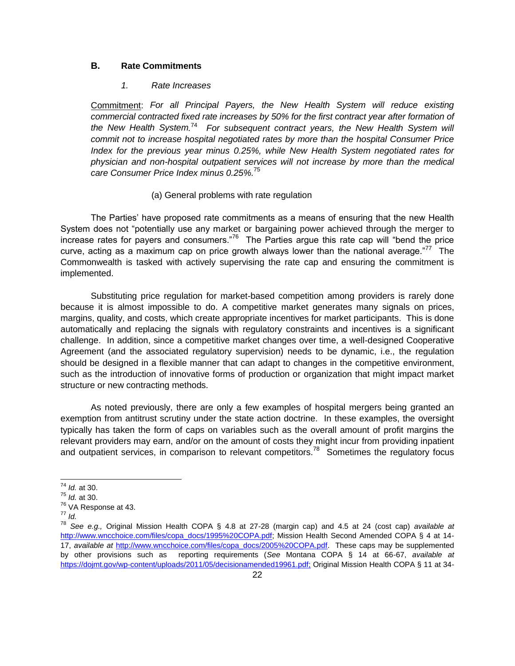#### <span id="page-23-0"></span>**B. Rate Commitments**

#### *1. Rate Increases*

Commitment: *For all Principal Payers, the New Health System will reduce existing commercial contracted fixed rate increases by 50% for the first contract year after formation of*  the New Health System.<sup>74</sup> For subsequent contract years, the New Health System will *commit not to increase hospital negotiated rates by more than the hospital Consumer Price Index for the previous year minus 0.25%, while New Health System negotiated rates for physician and non-hospital outpatient services will not increase by more than the medical care Consumer Price Index minus 0.25%.*<sup>75</sup>

#### (a) General problems with rate regulation

The Parties' have proposed rate commitments as a means of ensuring that the new Health System does not "potentially use any market or bargaining power achieved through the merger to increase rates for payers and consumers."<sup>76</sup> The Parties argue this rate cap will "bend the price curve, acting as a maximum cap on price growth always lower than the national average."<sup>77</sup> The Commonwealth is tasked with actively supervising the rate cap and ensuring the commitment is implemented.

Substituting price regulation for market-based competition among providers is rarely done because it is almost impossible to do. A competitive market generates many signals on prices, margins, quality, and costs, which create appropriate incentives for market participants. This is done automatically and replacing the signals with regulatory constraints and incentives is a significant challenge. In addition, since a competitive market changes over time, a well-designed Cooperative Agreement (and the associated regulatory supervision) needs to be dynamic, i.e., the regulation should be designed in a flexible manner that can adapt to changes in the competitive environment, such as the introduction of innovative forms of production or organization that might impact market structure or new contracting methods.

As noted previously, there are only a few examples of hospital mergers being granted an exemption from antitrust scrutiny under the state action doctrine. In these examples, the oversight typically has taken the form of caps on variables such as the overall amount of profit margins the relevant providers may earn, and/or on the amount of costs they might incur from providing inpatient and outpatient services, in comparison to relevant competitors.<sup>78</sup> Sometimes the regulatory focus

 $\overline{\phantom{a}}$ <sup>74</sup> *Id.* at 30.

<sup>75</sup> *Id.* at 30.

<sup>76</sup> VA Response at 43.

<sup>77</sup> *Id.*

<sup>78</sup> *See e.g.,* Original Mission Health COPA § 4.8 at 27-28 (margin cap) and 4.5 at 24 (cost cap) *available at*  [http://www.wncchoice.com/files/copa\\_docs/1995%20COPA.pdf;](http://www.wncchoice.com/files/copa_docs/1995%20COPA.pdf) Mission Health Second Amended COPA § 4 at 14-17, *available at* [http://www.wncchoice.com/files/copa\\_docs/2005%20COPA.pdf.](http://www.wncchoice.com/files/copa_docs/2005%20COPA.pdf) These caps may be supplemented by other provisions such as reporting requirements (*See* Montana COPA § 14 at 66-67, *available at* [https://dojmt.gov/wp-content/uploads/2011/05/decisionamended19961.pdf;](https://dojmt.gov/wp-content/uploads/2011/05/decisionamended19961.pdf) Original Mission Health COPA § 11 at 34-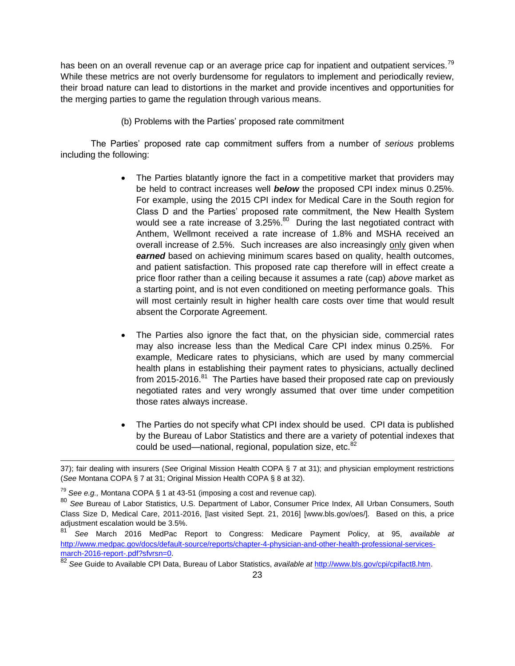has been on an overall revenue cap or an average price cap for inpatient and outpatient services.<sup>79</sup> While these metrics are not overly burdensome for regulators to implement and periodically review, their broad nature can lead to distortions in the market and provide incentives and opportunities for the merging parties to game the regulation through various means.

(b) Problems with the Parties' proposed rate commitment

The Parties' proposed rate cap commitment suffers from a number of *serious* problems including the following:

- The Parties blatantly ignore the fact in a competitive market that providers may be held to contract increases well *below* the proposed CPI index minus 0.25%. For example, using the 2015 CPI index for Medical Care in the South region for Class D and the Parties' proposed rate commitment, the New Health System would see a rate increase of 3.25%.<sup>80</sup> During the last negotiated contract with Anthem, Wellmont received a rate increase of 1.8% and MSHA received an overall increase of 2.5%. Such increases are also increasingly only given when **earned** based on achieving minimum scares based on quality, health outcomes, and patient satisfaction. This proposed rate cap therefore will in effect create a price floor rather than a ceiling because it assumes a rate (cap) *above* market as a starting point, and is not even conditioned on meeting performance goals. This will most certainly result in higher health care costs over time that would result absent the Corporate Agreement.
- The Parties also ignore the fact that, on the physician side, commercial rates may also increase less than the Medical Care CPI index minus 0.25%. For example, Medicare rates to physicians, which are used by many commercial health plans in establishing their payment rates to physicians, actually declined from 2015-2016.<sup>81</sup> The Parties have based their proposed rate cap on previously negotiated rates and very wrongly assumed that over time under competition those rates always increase.
- The Parties do not specify what CPI index should be used. CPI data is published by the Bureau of Labor Statistics and there are a variety of potential indexes that could be used—national, regional, population size, etc. $82$

<sup>37);</sup> fair dealing with insurers (*See* Original Mission Health COPA § 7 at 31); and physician employment restrictions (*See* Montana COPA § 7 at 31; Original Mission Health COPA § 8 at 32).

<sup>79</sup> *See e.g.,* Montana COPA § 1 at 43-51 (imposing a cost and revenue cap).

<sup>80</sup> *See* Bureau of Labor Statistics, U.S. Department of Labor, Consumer Price Index, All Urban Consumers, South Class Size D, Medical Care, 2011-2016, [last visited Sept. 21, 2016] [www.bls.gov/oes/]. Based on this, a price adjustment escalation would be 3.5%.

<sup>81</sup> *See* March 2016 MedPac Report to Congress: Medicare Payment Policy, at 95, *available at* [http://www.medpac.gov/docs/default-source/reports/chapter-4-physician-and-other-health-professional-services](http://www.medpac.gov/docs/default-source/reports/chapter-4-physician-and-other-health-professional-services-march-2016-report-.pdf?sfvrsn=0)[march-2016-report-.pdf?sfvrsn=0.](http://www.medpac.gov/docs/default-source/reports/chapter-4-physician-and-other-health-professional-services-march-2016-report-.pdf?sfvrsn=0)

<sup>82</sup> *See* Guide to Available CPI Data, Bureau of Labor Statistics, *available at* [http://www.bls.gov/cpi/cpifact8.htm.](http://www.bls.gov/cpi/cpifact8.htm)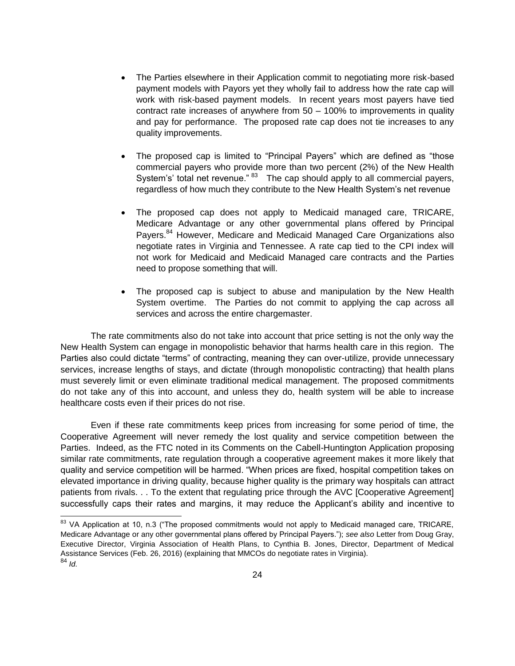- The Parties elsewhere in their Application commit to negotiating more risk-based payment models with Payors yet they wholly fail to address how the rate cap will work with risk-based payment models. In recent years most payers have tied contract rate increases of anywhere from 50 – 100% to improvements in quality and pay for performance. The proposed rate cap does not tie increases to any quality improvements.
- The proposed cap is limited to "Principal Payers" which are defined as "those commercial payers who provide more than two percent (2%) of the New Health System's' total net revenue." <sup>83</sup> The cap should apply to all commercial payers, regardless of how much they contribute to the New Health System's net revenue
- The proposed cap does not apply to Medicaid managed care, TRICARE, Medicare Advantage or any other governmental plans offered by Principal Payers.<sup>84</sup> However, Medicare and Medicaid Managed Care Organizations also negotiate rates in Virginia and Tennessee. A rate cap tied to the CPI index will not work for Medicaid and Medicaid Managed care contracts and the Parties need to propose something that will.
- The proposed cap is subject to abuse and manipulation by the New Health System overtime. The Parties do not commit to applying the cap across all services and across the entire chargemaster.

The rate commitments also do not take into account that price setting is not the only way the New Health System can engage in monopolistic behavior that harms health care in this region. The Parties also could dictate "terms" of contracting, meaning they can over-utilize, provide unnecessary services, increase lengths of stays, and dictate (through monopolistic contracting) that health plans must severely limit or even eliminate traditional medical management. The proposed commitments do not take any of this into account, and unless they do, health system will be able to increase healthcare costs even if their prices do not rise.

Even if these rate commitments keep prices from increasing for some period of time, the Cooperative Agreement will never remedy the lost quality and service competition between the Parties. Indeed, as the FTC noted in its Comments on the Cabell-Huntington Application proposing similar rate commitments, rate regulation through a cooperative agreement makes it more likely that quality and service competition will be harmed. "When prices are fixed, hospital competition takes on elevated importance in driving quality, because higher quality is the primary way hospitals can attract patients from rivals. . . To the extent that regulating price through the AVC [Cooperative Agreement] successfully caps their rates and margins, it may reduce the Applicant's ability and incentive to

<sup>&</sup>lt;sup>83</sup> VA Application at 10, n.3 ("The proposed commitments would not apply to Medicaid managed care, TRICARE, Medicare Advantage or any other governmental plans offered by Principal Payers."); *see also* Letter from Doug Gray, Executive Director, Virginia Association of Health Plans, to Cynthia B. Jones, Director, Department of Medical Assistance Services (Feb. 26, 2016) (explaining that MMCOs do negotiate rates in Virginia). <sup>84</sup> *Id.*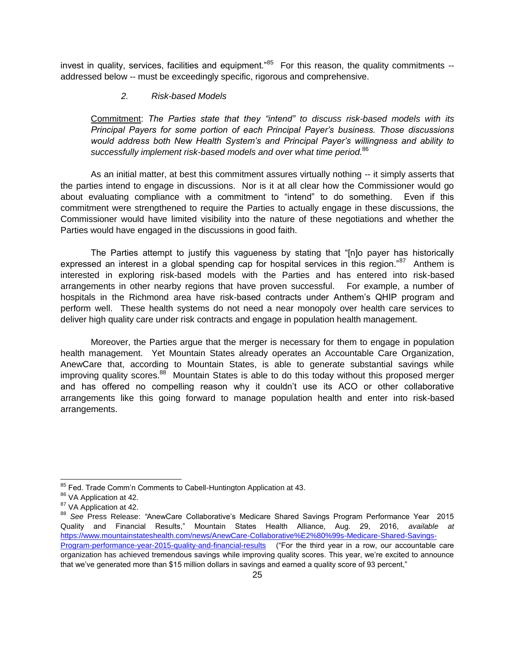invest in quality, services, facilities and equipment."<sup>85</sup> For this reason, the quality commitments -addressed below -- must be exceedingly specific, rigorous and comprehensive.

# *2. Risk-based Models*

Commitment: *The Parties state that they "intend" to discuss risk-based models with its Principal Payers for some portion of each Principal Payer's business. Those discussions would address both New Health System's and Principal Payer's willingness and ability to successfully implement risk-based models and over what time period.*<sup>86</sup>

As an initial matter, at best this commitment assures virtually nothing -- it simply asserts that the parties intend to engage in discussions. Nor is it at all clear how the Commissioner would go about evaluating compliance with a commitment to "intend" to do something. Even if this commitment were strengthened to require the Parties to actually engage in these discussions, the Commissioner would have limited visibility into the nature of these negotiations and whether the Parties would have engaged in the discussions in good faith.

The Parties attempt to justify this vagueness by stating that "[n]o payer has historically expressed an interest in a global spending cap for hospital services in this region."<sup>87</sup> Anthem is interested in exploring risk-based models with the Parties and has entered into risk-based arrangements in other nearby regions that have proven successful. For example, a number of hospitals in the Richmond area have risk-based contracts under Anthem's QHIP program and perform well. These health systems do not need a near monopoly over health care services to deliver high quality care under risk contracts and engage in population health management.

Moreover, the Parties argue that the merger is necessary for them to engage in population health management. Yet Mountain States already operates an Accountable Care Organization, AnewCare that, according to Mountain States, is able to generate substantial savings while improving quality scores.<sup>88</sup> Mountain States is able to do this today without this proposed merger and has offered no compelling reason why it couldn't use its ACO or other collaborative arrangements like this going forward to manage population health and enter into risk-based arrangements.

 $\overline{a}$ <sup>85</sup> Fed. Trade Comm'n Comments to Cabell-Huntington Application at 43.

<sup>86</sup> VA Application at 42.

<sup>&</sup>lt;sup>87</sup> VA Application at 42.

<sup>88</sup> *See* Press Release: *"*AnewCare Collaborative's Medicare Shared Savings Program Performance Year 2015 Quality and Financial Results," Mountain States Health Alliance, Aug. 29, 2016, *available at*  [https://www.mountainstateshealth.com/news/AnewCare-Collaborative%E2%80%99s-Medicare-Shared-Savings-](https://www.mountainstateshealth.com/news/AnewCare-Collaborative%E2%80%99s-Medicare-Shared-Savings-Program-performance-year-2015-quality-and-financial-results)[Program-performance-year-2015-quality-and-financial-results](https://www.mountainstateshealth.com/news/AnewCare-Collaborative%E2%80%99s-Medicare-Shared-Savings-Program-performance-year-2015-quality-and-financial-results)("For the third year in a row, our accountable care organization has achieved tremendous savings while improving quality scores. This year, we're excited to announce that we've generated more than \$15 million dollars in savings and earned a quality score of 93 percent,"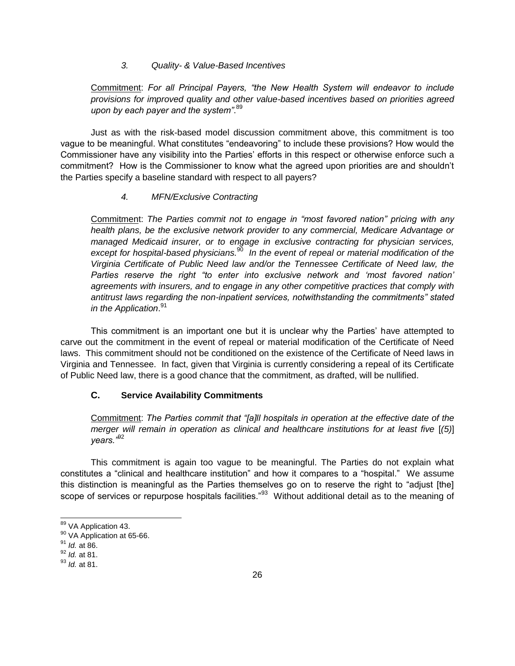#### *3. Quality- & Value-Based Incentives*

Commitment: *For all Principal Payers, "the New Health System will endeavor to include provisions for improved quality and other value-based incentives based on priorities agreed upon by each payer and the system"*. 89

Just as with the risk-based model discussion commitment above, this commitment is too vague to be meaningful. What constitutes "endeavoring" to include these provisions? How would the Commissioner have any visibility into the Parties' efforts in this respect or otherwise enforce such a commitment? How is the Commissioner to know what the agreed upon priorities are and shouldn't the Parties specify a baseline standard with respect to all payers?

#### *4. MFN/Exclusive Contracting*

Commitment: *The Parties commit not to engage in "most favored nation" pricing with any health plans, be the exclusive network provider to any commercial, Medicare Advantage or managed Medicaid insurer, or to engage in exclusive contracting for physician services, except for hospital-based physicians.*<sup>90</sup>  *In the event of repeal or material modification of the Virginia Certificate of Public Need law and/or the Tennessee Certificate of Need law, the Parties reserve the right "to enter into exclusive network and 'most favored nation' agreements with insurers, and to engage in any other competitive practices that comply with antitrust laws regarding the non-inpatient services, notwithstanding the commitments" stated in the Application*. 91

This commitment is an important one but it is unclear why the Parties' have attempted to carve out the commitment in the event of repeal or material modification of the Certificate of Need laws. This commitment should not be conditioned on the existence of the Certificate of Need laws in Virginia and Tennessee. In fact, given that Virginia is currently considering a repeal of its Certificate of Public Need law, there is a good chance that the commitment, as drafted, will be nullified.

# <span id="page-27-0"></span>**C. Service Availability Commitments**

Commitment: *The Parties commit that "[a]ll hospitals in operation at the effective date of the merger will remain in operation as clinical and healthcare institutions for at least five [(5)*] *years."*<sup>92</sup>

This commitment is again too vague to be meaningful. The Parties do not explain what constitutes a "clinical and healthcare institution" and how it compares to a "hospital." We assume this distinction is meaningful as the Parties themselves go on to reserve the right to "adjust [the] scope of services or repurpose hospitals facilities."<sup>93</sup> Without additional detail as to the meaning of

<sup>&</sup>lt;sup>89</sup> VA Application 43.

<sup>&</sup>lt;sup>90</sup> VA Application at 65-66.

<sup>91</sup> *Id.* at 86.

<sup>92</sup> *Id.* at 81.

<sup>93</sup> *Id.* at 81.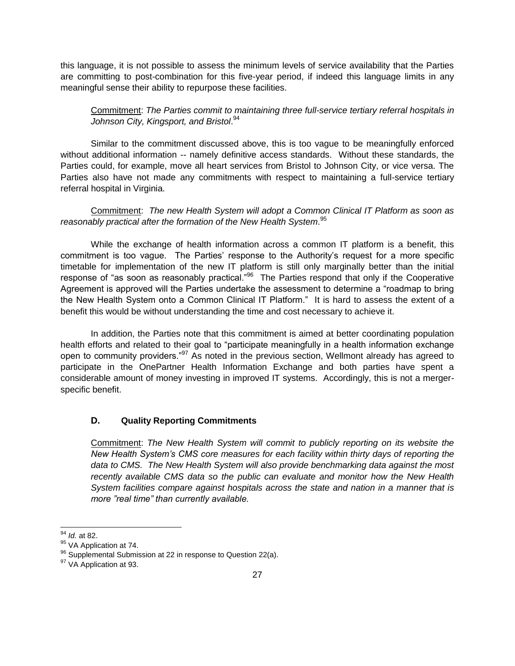this language, it is not possible to assess the minimum levels of service availability that the Parties are committing to post-combination for this five-year period, if indeed this language limits in any meaningful sense their ability to repurpose these facilities.

# Commitment: *The Parties commit to maintaining three full-service tertiary referral hospitals in Johnson City, Kingsport, and Bristol*. 94

Similar to the commitment discussed above, this is too vague to be meaningfully enforced without additional information -- namely definitive access standards. Without these standards, the Parties could, for example, move all heart services from Bristol to Johnson City, or vice versa. The Parties also have not made any commitments with respect to maintaining a full-service tertiary referral hospital in Virginia.

Commitment: *The new Health System will adopt a Common Clinical IT Platform as soon as reasonably practical after the formation of the New Health System*. 95

While the exchange of health information across a common IT platform is a benefit, this commitment is too vague. The Parties' response to the Authority's request for a more specific timetable for implementation of the new IT platform is still only marginally better than the initial response of "as soon as reasonably practical."<sup>96</sup> The Parties respond that only if the Cooperative Agreement is approved will the Parties undertake the assessment to determine a "roadmap to bring the New Health System onto a Common Clinical IT Platform." It is hard to assess the extent of a benefit this would be without understanding the time and cost necessary to achieve it.

In addition, the Parties note that this commitment is aimed at better coordinating population health efforts and related to their goal to "participate meaningfully in a health information exchange open to community providers."<sup>97</sup> As noted in the previous section, Wellmont already has agreed to participate in the OnePartner Health Information Exchange and both parties have spent a considerable amount of money investing in improved IT systems. Accordingly, this is not a mergerspecific benefit.

# <span id="page-28-0"></span>**D. Quality Reporting Commitments**

Commitment: *The New Health System will commit to publicly reporting on its website the New Health System's CMS core measures for each facility within thirty days of reporting the data to CMS. The New Health System will also provide benchmarking data against the most recently available CMS data so the public can evaluate and monitor how the New Health System facilities compare against hospitals across the state and nation in a manner that is more "real time" than currently available.*

<sup>94</sup> *Id.* at 82.

<sup>95</sup> VA Application at 74.

<sup>&</sup>lt;sup>96</sup> Supplemental Submission at 22 in response to Question 22(a).

<sup>97</sup> VA Application at 93.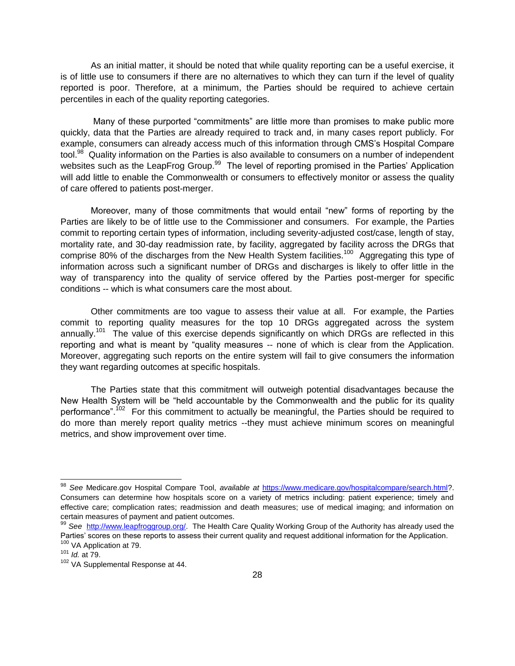As an initial matter, it should be noted that while quality reporting can be a useful exercise, it is of little use to consumers if there are no alternatives to which they can turn if the level of quality reported is poor. Therefore, at a minimum, the Parties should be required to achieve certain percentiles in each of the quality reporting categories.

Many of these purported "commitments" are little more than promises to make public more quickly, data that the Parties are already required to track and, in many cases report publicly. For example, consumers can already access much of this information through CMS's Hospital Compare tool.<sup>98</sup> Quality information on the Parties is also available to consumers on a number of independent websites such as the LeapFrog Group.<sup>99</sup> The level of reporting promised in the Parties' Application will add little to enable the Commonwealth or consumers to effectively monitor or assess the quality of care offered to patients post-merger.

Moreover, many of those commitments that would entail "new" forms of reporting by the Parties are likely to be of little use to the Commissioner and consumers. For example, the Parties commit to reporting certain types of information, including severity-adjusted cost/case, length of stay, mortality rate, and 30-day readmission rate, by facility, aggregated by facility across the DRGs that comprise 80% of the discharges from the New Health System facilities.<sup>100</sup> Aggregating this type of information across such a significant number of DRGs and discharges is likely to offer little in the way of transparency into the quality of service offered by the Parties post-merger for specific conditions -- which is what consumers care the most about.

Other commitments are too vague to assess their value at all. For example, the Parties commit to reporting quality measures for the top 10 DRGs aggregated across the system annually.<sup>101</sup> The value of this exercise depends significantly on which DRGs are reflected in this reporting and what is meant by "quality measures -- none of which is clear from the Application. Moreover, aggregating such reports on the entire system will fail to give consumers the information they want regarding outcomes at specific hospitals.

The Parties state that this commitment will outweigh potential disadvantages because the New Health System will be "held accountable by the Commonwealth and the public for its quality performance".<sup>102</sup> For this commitment to actually be meaningful, the Parties should be required to do more than merely report quality metrics --they must achieve minimum scores on meaningful metrics, and show improvement over time.

 $\overline{\phantom{a}}$ 

<sup>98</sup> *See* Medicare.gov Hospital Compare Tool, *available at* [https://www.medicare.gov/hospitalcompare/search.html?](https://www.medicare.gov/hospitalcompare/search.html). Consumers can determine how hospitals score on a variety of metrics including: patient experience; timely and effective care; complication rates; readmission and death measures; use of medical imaging; and information on certain measures of payment and patient outcomes.

<sup>99</sup> *See* [http://www.leapfroggroup.org/.](http://www.leapfroggroup.org/) The Health Care Quality Working Group of the Authority has already used the Parties' scores on these reports to assess their current quality and request additional information for the Application. 100 VA Application at 79.

<sup>101</sup> *Id.* at 79.

<sup>102</sup> VA Supplemental Response at 44.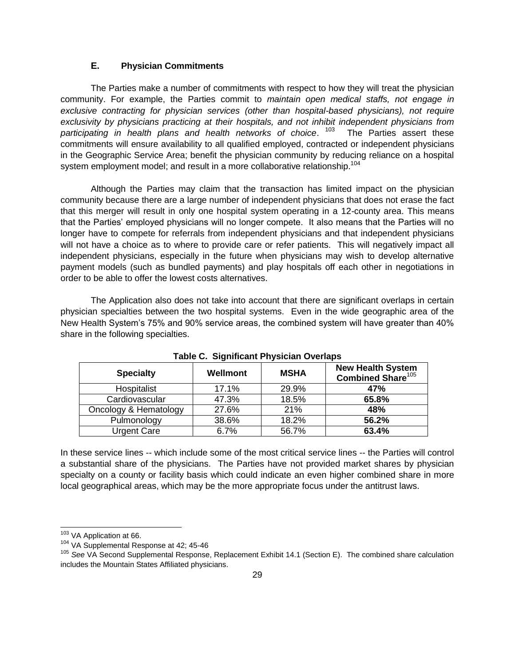#### **E. Physician Commitments**

<span id="page-30-0"></span>The Parties make a number of commitments with respect to how they will treat the physician community. For example, the Parties commit to *maintain open medical staffs, not engage in exclusive contracting for physician services (other than hospital-based physicians), not require exclusivity by physicians practicing at their hospitals, and not inhibit independent physicians from participating in health plans and health networks of choice*. 103 The Parties assert these commitments will ensure availability to all qualified employed, contracted or independent physicians in the Geographic Service Area; benefit the physician community by reducing reliance on a hospital system employment model; and result in a more collaborative relationship.<sup>104</sup>

Although the Parties may claim that the transaction has limited impact on the physician community because there are a large number of independent physicians that does not erase the fact that this merger will result in only one hospital system operating in a 12-county area. This means that the Parties' employed physicians will no longer compete. It also means that the Parties will no longer have to compete for referrals from independent physicians and that independent physicians will not have a choice as to where to provide care or refer patients. This will negatively impact all independent physicians, especially in the future when physicians may wish to develop alternative payment models (such as bundled payments) and play hospitals off each other in negotiations in order to be able to offer the lowest costs alternatives.

The Application also does not take into account that there are significant overlaps in certain physician specialties between the two hospital systems. Even in the wide geographic area of the New Health System's 75% and 90% service areas, the combined system will have greater than 40% share in the following specialties.

| <b>Specialty</b>      | Wellmont | <b>MSHA</b> | <b>New Health System</b><br>Combined Share <sup>105</sup> |
|-----------------------|----------|-------------|-----------------------------------------------------------|
| Hospitalist           | 17.1%    | 29.9%       | 47%                                                       |
| Cardiovascular        | 47.3%    | 18.5%       | 65.8%                                                     |
| Oncology & Hematology | 27.6%    | 21%         | 48%                                                       |
| Pulmonology           | 38.6%    | 18.2%       | 56.2%                                                     |
| <b>Urgent Care</b>    | 6.7%     | 56.7%       | 63.4%                                                     |

**Table C. Significant Physician Overlaps**

In these service lines -- which include some of the most critical service lines -- the Parties will control a substantial share of the physicians. The Parties have not provided market shares by physician specialty on a county or facility basis which could indicate an even higher combined share in more local geographical areas, which may be the more appropriate focus under the antitrust laws.

<sup>&</sup>lt;sup>103</sup> VA Application at 66.

<sup>104</sup> VA Supplemental Response at 42; 45-46

<sup>105</sup> *See* VA Second Supplemental Response, Replacement Exhibit 14.1 (Section E). The combined share calculation includes the Mountain States Affiliated physicians.